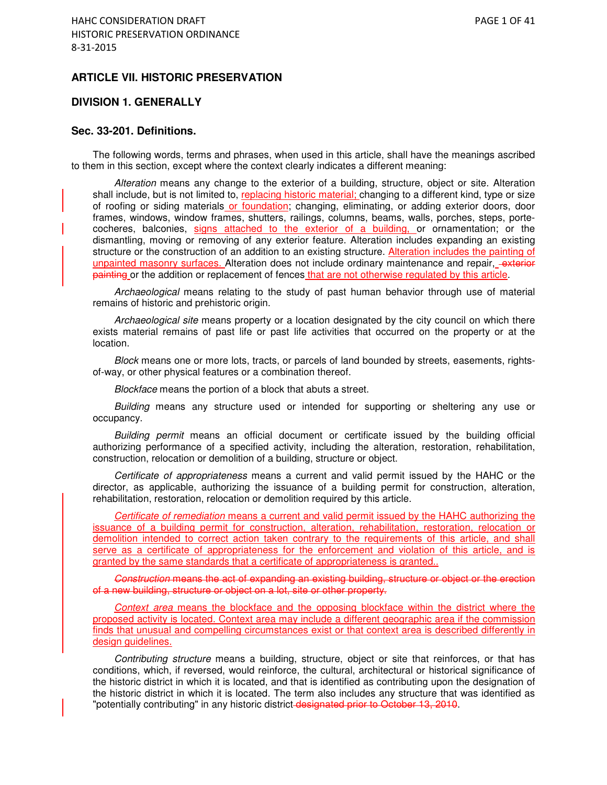### **ARTICLE VII. HISTORIC PRESERVATION**

#### **DIVISION 1. GENERALLY**

### **Sec. 33-201. Definitions.**

The following words, terms and phrases, when used in this article, shall have the meanings ascribed to them in this section, except where the context clearly indicates a different meaning:

Alteration means any change to the exterior of a building, structure, object or site. Alteration shall include, but is not limited to, replacing historic material; changing to a different kind, type or size of roofing or siding materials or foundation; changing, eliminating, or adding exterior doors, door frames, windows, window frames, shutters, railings, columns, beams, walls, porches, steps, portecocheres, balconies, signs attached to the exterior of a building, or ornamentation; or the dismantling, moving or removing of any exterior feature. Alteration includes expanding an existing structure or the construction of an addition to an existing structure. Alteration includes the painting of unpainted masonry surfaces. Alteration does not include ordinary maintenance and repair, -exterior painting or the addition or replacement of fences that are not otherwise regulated by this article.

Archaeological means relating to the study of past human behavior through use of material remains of historic and prehistoric origin.

Archaeological site means property or a location designated by the city council on which there exists material remains of past life or past life activities that occurred on the property or at the location.

Block means one or more lots, tracts, or parcels of land bounded by streets, easements, rightsof-way, or other physical features or a combination thereof.

Blockface means the portion of a block that abuts a street.

Building means any structure used or intended for supporting or sheltering any use or occupancy.

Building permit means an official document or certificate issued by the building official authorizing performance of a specified activity, including the alteration, restoration, rehabilitation, construction, relocation or demolition of a building, structure or object.

Certificate of appropriateness means a current and valid permit issued by the HAHC or the director, as applicable, authorizing the issuance of a building permit for construction, alteration, rehabilitation, restoration, relocation or demolition required by this article.

Certificate of remediation means a current and valid permit issued by the HAHC authorizing the issuance of a building permit for construction, alteration, rehabilitation, restoration, relocation or demolition intended to correct action taken contrary to the requirements of this article, and shall serve as a certificate of appropriateness for the enforcement and violation of this article, and is granted by the same standards that a certificate of appropriateness is granted..

Construction means the act of expanding an existing building, structure or object or the erection of a new building, structure or object on a lot, site or other property.

Context area means the blockface and the opposing blockface within the district where the proposed activity is located. Context area may include a different geographic area if the commission finds that unusual and compelling circumstances exist or that context area is described differently in design guidelines.

Contributing structure means a building, structure, object or site that reinforces, or that has conditions, which, if reversed, would reinforce, the cultural, architectural or historical significance of the historic district in which it is located, and that is identified as contributing upon the designation of the historic district in which it is located. The term also includes any structure that was identified as "potentially contributing" in any historic district-designated prior to October 13, 2010.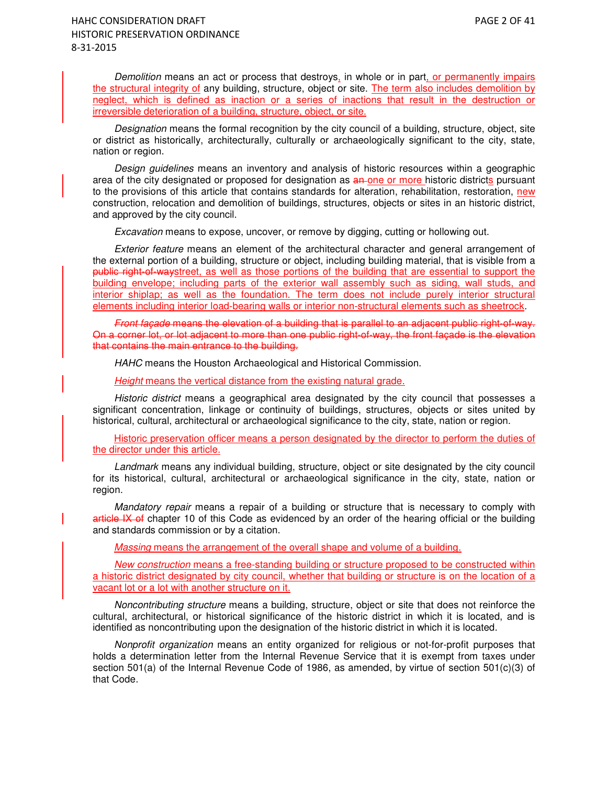Demolition means an act or process that destroys, in whole or in part, or permanently impairs the structural integrity of any building, structure, object or site. The term also includes demolition by neglect, which is defined as inaction or a series of inactions that result in the destruction or irreversible deterioration of a building, structure, object, or site.

Designation means the formal recognition by the city council of a building, structure, object, site or district as historically, architecturally, culturally or archaeologically significant to the city, state, nation or region.

Design guidelines means an inventory and analysis of historic resources within a geographic area of the city designated or proposed for designation as an one or more historic districts pursuant to the provisions of this article that contains standards for alteration, rehabilitation, restoration, new construction, relocation and demolition of buildings, structures, objects or sites in an historic district, and approved by the city council.

Excavation means to expose, uncover, or remove by digging, cutting or hollowing out.

Exterior feature means an element of the architectural character and general arrangement of the external portion of a building, structure or object, including building material, that is visible from a public right-of-waystreet, as well as those portions of the building that are essential to support the building envelope; including parts of the exterior wall assembly such as siding, wall studs, and interior shiplap; as well as the foundation. The term does not include purely interior structural elements including interior load-bearing walls or interior non-structural elements such as sheetrock.

Front façade means the elevation of a building that is parallel to an adjacent public right-of-way. On a corner lot, or lot adjacent to more than one public right-of-way, the front façade is the elevation that contains the main entrance to the building.

HAHC means the Houston Archaeological and Historical Commission.

Height means the vertical distance from the existing natural grade.

Historic district means a geographical area designated by the city council that possesses a significant concentration, linkage or continuity of buildings, structures, objects or sites united by historical, cultural, architectural or archaeological significance to the city, state, nation or region.

Historic preservation officer means a person designated by the director to perform the duties of the director under this article.

Landmark means any individual building, structure, object or site designated by the city council for its historical, cultural, architectural or archaeological significance in the city, state, nation or region.

Mandatory repair means a repair of a building or structure that is necessary to comply with article IX of chapter 10 of this Code as evidenced by an order of the hearing official or the building and standards commission or by a citation.

Massing means the arrangement of the overall shape and volume of a building.

New construction means a free-standing building or structure proposed to be constructed within a historic district designated by city council, whether that building or structure is on the location of a vacant lot or a lot with another structure on it.

Noncontributing structure means a building, structure, object or site that does not reinforce the cultural, architectural, or historical significance of the historic district in which it is located, and is identified as noncontributing upon the designation of the historic district in which it is located.

Nonprofit organization means an entity organized for religious or not-for-profit purposes that holds a determination letter from the Internal Revenue Service that it is exempt from taxes under section 501(a) of the Internal Revenue Code of 1986, as amended, by virtue of section 501(c)(3) of that Code.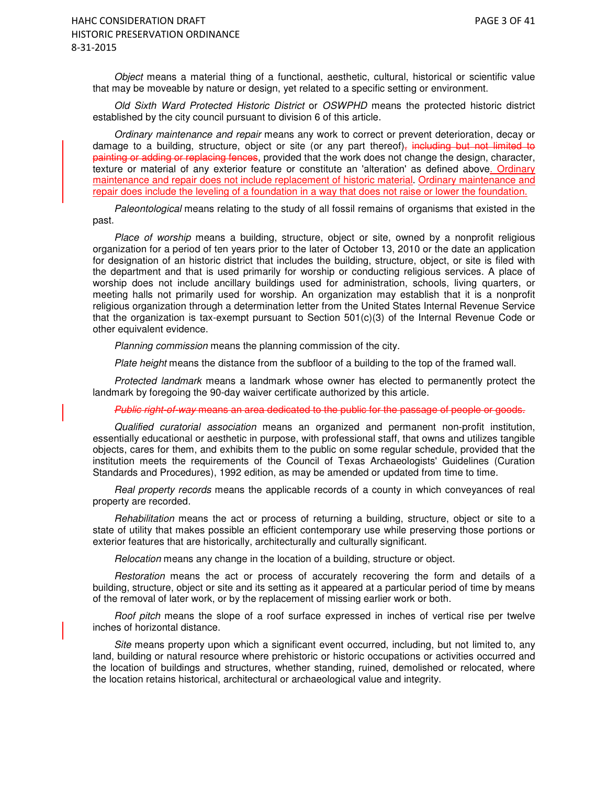Object means a material thing of a functional, aesthetic, cultural, historical or scientific value that may be moveable by nature or design, yet related to a specific setting or environment.

Old Sixth Ward Protected Historic District or OSWPHD means the protected historic district established by the city council pursuant to division 6 of this article.

Ordinary maintenance and repair means any work to correct or prevent deterioration, decay or damage to a building, structure, object or site (or any part thereof), including but not limited to painting or adding or replacing fences, provided that the work does not change the design, character, texture or material of any exterior feature or constitute an 'alteration' as defined above. Ordinary maintenance and repair does not include replacement of historic material. Ordinary maintenance and repair does include the leveling of a foundation in a way that does not raise or lower the foundation.

Paleontological means relating to the study of all fossil remains of organisms that existed in the past.

Place of worship means a building, structure, object or site, owned by a nonprofit religious organization for a period of ten years prior to the later of October 13, 2010 or the date an application for designation of an historic district that includes the building, structure, object, or site is filed with the department and that is used primarily for worship or conducting religious services. A place of worship does not include ancillary buildings used for administration, schools, living quarters, or meeting halls not primarily used for worship. An organization may establish that it is a nonprofit religious organization through a determination letter from the United States Internal Revenue Service that the organization is tax-exempt pursuant to Section 501(c)(3) of the Internal Revenue Code or other equivalent evidence.

Planning commission means the planning commission of the city.

Plate height means the distance from the subfloor of a building to the top of the framed wall.

Protected landmark means a landmark whose owner has elected to permanently protect the landmark by foregoing the 90-day waiver certificate authorized by this article.

Public right-of-way means an area dedicated to the public for the passage of people or goods.

Qualified curatorial association means an organized and permanent non-profit institution, essentially educational or aesthetic in purpose, with professional staff, that owns and utilizes tangible objects, cares for them, and exhibits them to the public on some regular schedule, provided that the institution meets the requirements of the Council of Texas Archaeologists' Guidelines (Curation Standards and Procedures), 1992 edition, as may be amended or updated from time to time.

Real property records means the applicable records of a county in which conveyances of real property are recorded.

Rehabilitation means the act or process of returning a building, structure, object or site to a state of utility that makes possible an efficient contemporary use while preserving those portions or exterior features that are historically, architecturally and culturally significant.

Relocation means any change in the location of a building, structure or object.

Restoration means the act or process of accurately recovering the form and details of a building, structure, object or site and its setting as it appeared at a particular period of time by means of the removal of later work, or by the replacement of missing earlier work or both.

Roof pitch means the slope of a roof surface expressed in inches of vertical rise per twelve inches of horizontal distance.

Site means property upon which a significant event occurred, including, but not limited to, any land, building or natural resource where prehistoric or historic occupations or activities occurred and the location of buildings and structures, whether standing, ruined, demolished or relocated, where the location retains historical, architectural or archaeological value and integrity.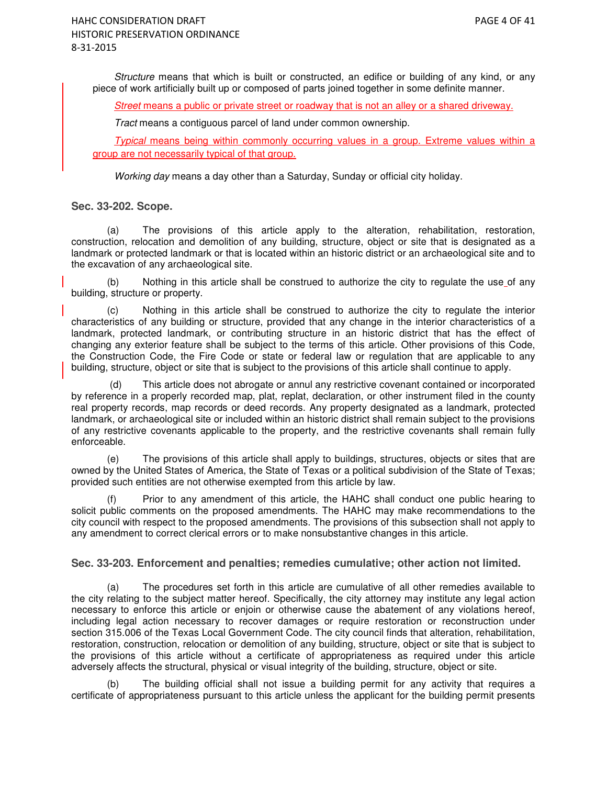Structure means that which is built or constructed, an edifice or building of any kind, or any piece of work artificially built up or composed of parts joined together in some definite manner.

Street means a public or private street or roadway that is not an alley or a shared driveway.

Tract means a contiguous parcel of land under common ownership.

Typical means being within commonly occurring values in a group. Extreme values within a group are not necessarily typical of that group.

Working day means a day other than a Saturday, Sunday or official city holiday.

### **Sec. 33-202. Scope.**

(a) The provisions of this article apply to the alteration, rehabilitation, restoration, construction, relocation and demolition of any building, structure, object or site that is designated as a landmark or protected landmark or that is located within an historic district or an archaeological site and to the excavation of any archaeological site.

(b) Nothing in this article shall be construed to authorize the city to regulate the use of any building, structure or property.

(c) Nothing in this article shall be construed to authorize the city to regulate the interior characteristics of any building or structure, provided that any change in the interior characteristics of a landmark, protected landmark, or contributing structure in an historic district that has the effect of changing any exterior feature shall be subject to the terms of this article. Other provisions of this Code, the Construction Code, the Fire Code or state or federal law or regulation that are applicable to any building, structure, object or site that is subject to the provisions of this article shall continue to apply.

 (d) This article does not abrogate or annul any restrictive covenant contained or incorporated by reference in a properly recorded map, plat, replat, declaration, or other instrument filed in the county real property records, map records or deed records. Any property designated as a landmark, protected landmark, or archaeological site or included within an historic district shall remain subject to the provisions of any restrictive covenants applicable to the property, and the restrictive covenants shall remain fully enforceable.

(e) The provisions of this article shall apply to buildings, structures, objects or sites that are owned by the United States of America, the State of Texas or a political subdivision of the State of Texas; provided such entities are not otherwise exempted from this article by law.

Prior to any amendment of this article, the HAHC shall conduct one public hearing to solicit public comments on the proposed amendments. The HAHC may make recommendations to the city council with respect to the proposed amendments. The provisions of this subsection shall not apply to any amendment to correct clerical errors or to make nonsubstantive changes in this article.

#### **Sec. 33-203. Enforcement and penalties; remedies cumulative; other action not limited.**

(a) The procedures set forth in this article are cumulative of all other remedies available to the city relating to the subject matter hereof. Specifically, the city attorney may institute any legal action necessary to enforce this article or enjoin or otherwise cause the abatement of any violations hereof, including legal action necessary to recover damages or require restoration or reconstruction under section 315.006 of the Texas Local Government Code. The city council finds that alteration, rehabilitation, restoration, construction, relocation or demolition of any building, structure, object or site that is subject to the provisions of this article without a certificate of appropriateness as required under this article adversely affects the structural, physical or visual integrity of the building, structure, object or site.

The building official shall not issue a building permit for any activity that requires a certificate of appropriateness pursuant to this article unless the applicant for the building permit presents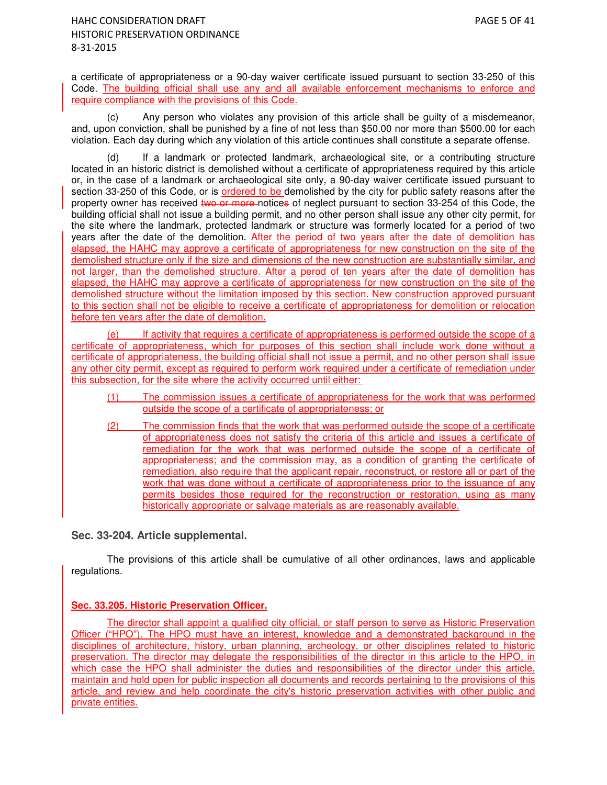a certificate of appropriateness or a 90-day waiver certificate issued pursuant to section 33-250 of this Code. The building official shall use any and all available enforcement mechanisms to enforce and require compliance with the provisions of this Code.

(c) Any person who violates any provision of this article shall be guilty of a misdemeanor, and, upon conviction, shall be punished by a fine of not less than \$50.00 nor more than \$500.00 for each violation. Each day during which any violation of this article continues shall constitute a separate offense.

(d) If a landmark or protected landmark, archaeological site, or a contributing structure located in an historic district is demolished without a certificate of appropriateness required by this article or, in the case of a landmark or archaeological site only, a 90-day waiver certificate issued pursuant to section 33-250 of this Code, or is ordered to be demolished by the city for public safety reasons after the property owner has received two or more notices of neglect pursuant to section 33-254 of this Code, the building official shall not issue a building permit, and no other person shall issue any other city permit, for the site where the landmark, protected landmark or structure was formerly located for a period of two years after the date of the demolition. After the period of two years after the date of demolition has elapsed, the HAHC may approve a certificate of appropriateness for new construction on the site of the demolished structure only if the size and dimensions of the new construction are substantially similar, and not larger, than the demolished structure. After a perod of ten years after the date of demolition has elapsed, the HAHC may approve a certificate of appropriateness for new construction on the site of the demolished structure without the limitation imposed by this section. New construction approved pursuant to this section shall not be eligible to receive a certificate of appropriateness for demolition or relocation before ten years after the date of demolition.

(e) If activity that requires a certificate of appropriateness is performed outside the scope of a certificate of appropriateness, which for purposes of this section shall include work done without a certificate of appropriateness, the building official shall not issue a permit, and no other person shall issue any other city permit, except as required to perform work required under a certificate of remediation under this subsection, for the site where the activity occurred until either:

- (1) The commission issues a certificate of appropriateness for the work that was performed outside the scope of a certificate of appropriateness; or
- (2) The commission finds that the work that was performed outside the scope of a certificate of appropriateness does not satisfy the criteria of this article and issues a certificate of remediation for the work that was performed outside the scope of a certificate of appropriateness; and the commission may, as a condition of granting the certificate of remediation, also require that the applicant repair, reconstruct, or restore all or part of the work that was done without a certificate of appropriateness prior to the issuance of any permits besides those required for the reconstruction or restoration, using as many historically appropriate or salvage materials as are reasonably available.

## **Sec. 33-204. Article supplemental.**

The provisions of this article shall be cumulative of all other ordinances, laws and applicable regulations.

## **Sec. 33.205. Historic Preservation Officer.**

The director shall appoint a qualified city official, or staff person to serve as Historic Preservation Officer ("HPO"). The HPO must have an interest, knowledge and a demonstrated background in the disciplines of architecture, history, urban planning, archeology, or other disciplines related to historic preservation. The director may delegate the responsibilities of the director in this article to the HPO, in which case the HPO shall administer the duties and responsibilities of the director under this article, maintain and hold open for public inspection all documents and records pertaining to the provisions of this article, and review and help coordinate the city's historic preservation activities with other public and private entities.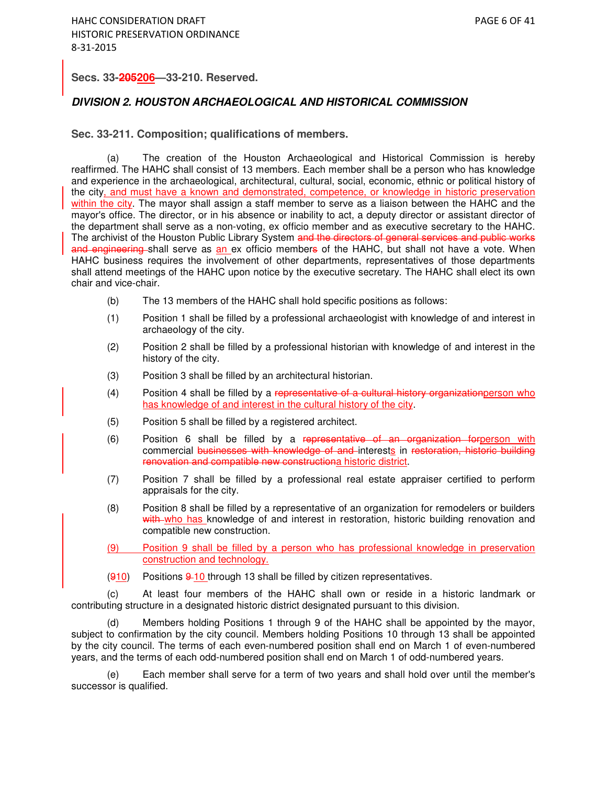### **Secs. 33-205206—33-210. Reserved.**

### **DIVISION 2. HOUSTON ARCHAEOLOGICAL AND HISTORICAL COMMISSION**

**Sec. 33-211. Composition; qualifications of members.** 

(a) The creation of the Houston Archaeological and Historical Commission is hereby reaffirmed. The HAHC shall consist of 13 members. Each member shall be a person who has knowledge and experience in the archaeological, architectural, cultural, social, economic, ethnic or political history of the city, and must have a known and demonstrated, competence, or knowledge in historic preservation within the city. The mayor shall assign a staff member to serve as a liaison between the HAHC and the mayor's office. The director, or in his absence or inability to act, a deputy director or assistant director of the department shall serve as a non-voting, ex officio member and as executive secretary to the HAHC. The archivist of the Houston Public Library System and the directors of general services and public works and engineering shall serve as an ex officio members of the HAHC, but shall not have a vote. When HAHC business requires the involvement of other departments, representatives of those departments shall attend meetings of the HAHC upon notice by the executive secretary. The HAHC shall elect its own chair and vice-chair.

- (b) The 13 members of the HAHC shall hold specific positions as follows:
- (1) Position 1 shall be filled by a professional archaeologist with knowledge of and interest in archaeology of the city.
- (2) Position 2 shall be filled by a professional historian with knowledge of and interest in the history of the city.
- (3) Position 3 shall be filled by an architectural historian.
- (4) Position 4 shall be filled by a representative of a cultural history organization person who has knowledge of and interest in the cultural history of the city.
- (5) Position 5 shall be filled by a registered architect.
- (6) Position 6 shall be filled by a representative of an organization forperson with commercial businesses with knowledge of and interests in restoration, historic building renovation and compatible new constructiona historic district.
- (7) Position 7 shall be filled by a professional real estate appraiser certified to perform appraisals for the city.
- (8) Position 8 shall be filled by a representative of an organization for remodelers or builders with who has knowledge of and interest in restoration, historic building renovation and compatible new construction.
- (9) Position 9 shall be filled by a person who has professional knowledge in preservation construction and technology.
- $(910)$  Positions  $9-10$  through 13 shall be filled by citizen representatives.

(c) At least four members of the HAHC shall own or reside in a historic landmark or contributing structure in a designated historic district designated pursuant to this division.

(d) Members holding Positions 1 through 9 of the HAHC shall be appointed by the mayor, subject to confirmation by the city council. Members holding Positions 10 through 13 shall be appointed by the city council. The terms of each even-numbered position shall end on March 1 of even-numbered years, and the terms of each odd-numbered position shall end on March 1 of odd-numbered years.

(e) Each member shall serve for a term of two years and shall hold over until the member's successor is qualified.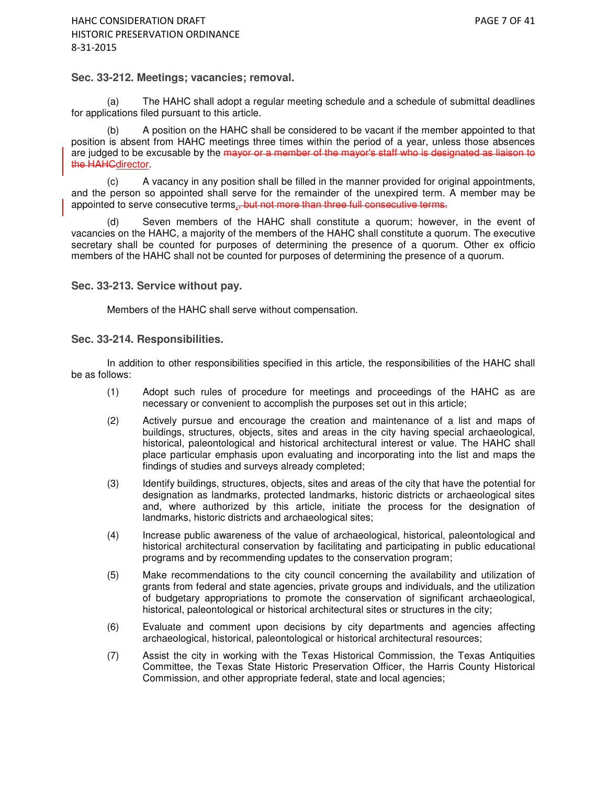#### **Sec. 33-212. Meetings; vacancies; removal.**

(a) The HAHC shall adopt a regular meeting schedule and a schedule of submittal deadlines for applications filed pursuant to this article.

(b) A position on the HAHC shall be considered to be vacant if the member appointed to that position is absent from HAHC meetings three times within the period of a year, unless those absences are judged to be excusable by the mayor or a member of the mayor's staff who is designated as liaison to the **HAHCdirector**.

(c) A vacancy in any position shall be filled in the manner provided for original appointments, and the person so appointed shall serve for the remainder of the unexpired term. A member may be appointed to serve consecutive terms., but not more than three full consecutive terms.

(d) Seven members of the HAHC shall constitute a quorum; however, in the event of vacancies on the HAHC, a majority of the members of the HAHC shall constitute a quorum. The executive secretary shall be counted for purposes of determining the presence of a quorum. Other ex officio members of the HAHC shall not be counted for purposes of determining the presence of a quorum.

**Sec. 33-213. Service without pay.** 

Members of the HAHC shall serve without compensation.

#### **Sec. 33-214. Responsibilities.**

In addition to other responsibilities specified in this article, the responsibilities of the HAHC shall be as follows:

- (1) Adopt such rules of procedure for meetings and proceedings of the HAHC as are necessary or convenient to accomplish the purposes set out in this article;
- (2) Actively pursue and encourage the creation and maintenance of a list and maps of buildings, structures, objects, sites and areas in the city having special archaeological, historical, paleontological and historical architectural interest or value. The HAHC shall place particular emphasis upon evaluating and incorporating into the list and maps the findings of studies and surveys already completed;
- (3) Identify buildings, structures, objects, sites and areas of the city that have the potential for designation as landmarks, protected landmarks, historic districts or archaeological sites and, where authorized by this article, initiate the process for the designation of landmarks, historic districts and archaeological sites;
- (4) Increase public awareness of the value of archaeological, historical, paleontological and historical architectural conservation by facilitating and participating in public educational programs and by recommending updates to the conservation program;
- (5) Make recommendations to the city council concerning the availability and utilization of grants from federal and state agencies, private groups and individuals, and the utilization of budgetary appropriations to promote the conservation of significant archaeological, historical, paleontological or historical architectural sites or structures in the city;
- (6) Evaluate and comment upon decisions by city departments and agencies affecting archaeological, historical, paleontological or historical architectural resources;
- (7) Assist the city in working with the Texas Historical Commission, the Texas Antiquities Committee, the Texas State Historic Preservation Officer, the Harris County Historical Commission, and other appropriate federal, state and local agencies;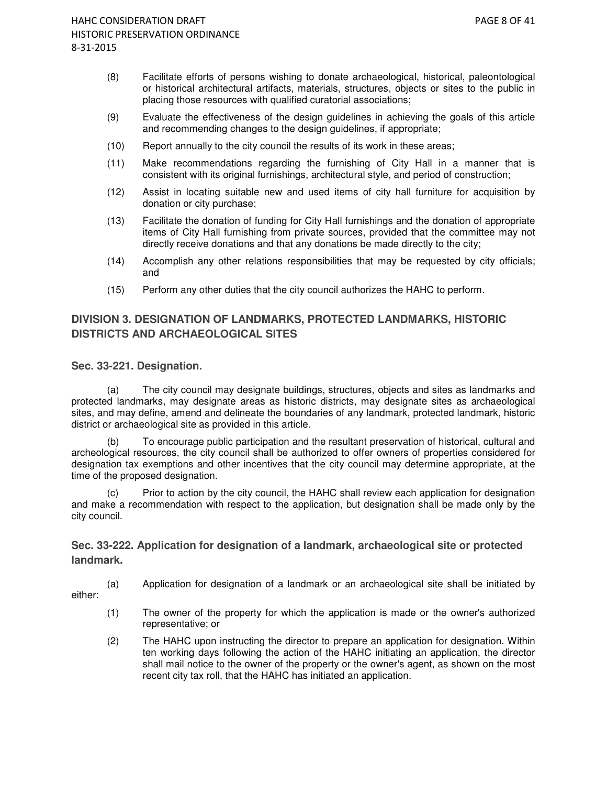- (8) Facilitate efforts of persons wishing to donate archaeological, historical, paleontological or historical architectural artifacts, materials, structures, objects or sites to the public in placing those resources with qualified curatorial associations;
- (9) Evaluate the effectiveness of the design guidelines in achieving the goals of this article and recommending changes to the design guidelines, if appropriate;
- (10) Report annually to the city council the results of its work in these areas;
- (11) Make recommendations regarding the furnishing of City Hall in a manner that is consistent with its original furnishings, architectural style, and period of construction;
- (12) Assist in locating suitable new and used items of city hall furniture for acquisition by donation or city purchase;
- (13) Facilitate the donation of funding for City Hall furnishings and the donation of appropriate items of City Hall furnishing from private sources, provided that the committee may not directly receive donations and that any donations be made directly to the city;
- (14) Accomplish any other relations responsibilities that may be requested by city officials; and
- (15) Perform any other duties that the city council authorizes the HAHC to perform.

# **DIVISION 3. DESIGNATION OF LANDMARKS, PROTECTED LANDMARKS, HISTORIC DISTRICTS AND ARCHAEOLOGICAL SITES**

### **Sec. 33-221. Designation.**

(a) The city council may designate buildings, structures, objects and sites as landmarks and protected landmarks, may designate areas as historic districts, may designate sites as archaeological sites, and may define, amend and delineate the boundaries of any landmark, protected landmark, historic district or archaeological site as provided in this article.

(b) To encourage public participation and the resultant preservation of historical, cultural and archeological resources, the city council shall be authorized to offer owners of properties considered for designation tax exemptions and other incentives that the city council may determine appropriate, at the time of the proposed designation.

(c) Prior to action by the city council, the HAHC shall review each application for designation and make a recommendation with respect to the application, but designation shall be made only by the city council.

# **Sec. 33-222. Application for designation of a landmark, archaeological site or protected landmark.**

(a) Application for designation of a landmark or an archaeological site shall be initiated by

either:

- (1) The owner of the property for which the application is made or the owner's authorized representative; or
- (2) The HAHC upon instructing the director to prepare an application for designation. Within ten working days following the action of the HAHC initiating an application, the director shall mail notice to the owner of the property or the owner's agent, as shown on the most recent city tax roll, that the HAHC has initiated an application.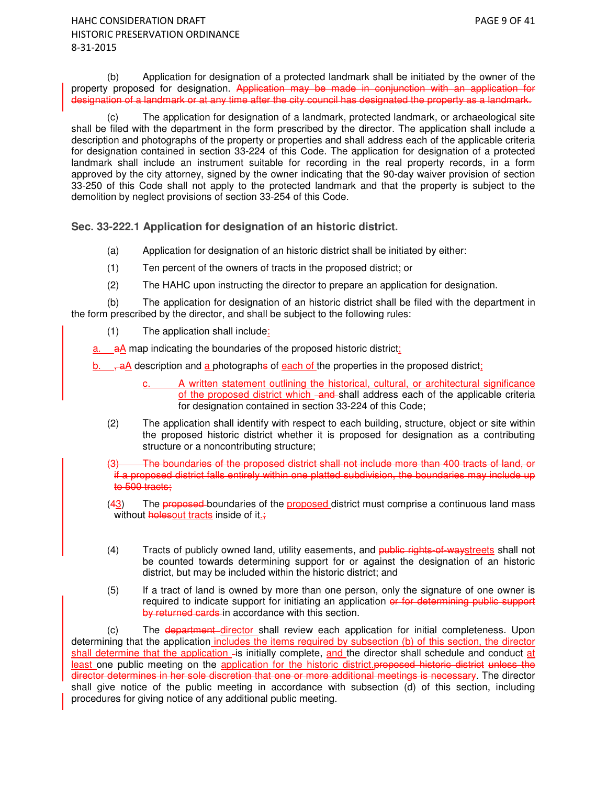(b) Application for designation of a protected landmark shall be initiated by the owner of the property proposed for designation. Application may be made in conjunction with an application for designation of a landmark or at any time after the city council has designated the property as a landmark.

(c) The application for designation of a landmark, protected landmark, or archaeological site shall be filed with the department in the form prescribed by the director. The application shall include a description and photographs of the property or properties and shall address each of the applicable criteria for designation contained in section 33-224 of this Code. The application for designation of a protected landmark shall include an instrument suitable for recording in the real property records, in a form approved by the city attorney, signed by the owner indicating that the 90-day waiver provision of section 33-250 of this Code shall not apply to the protected landmark and that the property is subject to the demolition by neglect provisions of section 33-254 of this Code.

**Sec. 33-222.1 Application for designation of an historic district.** 

- (a) Application for designation of an historic district shall be initiated by either:
- (1) Ten percent of the owners of tracts in the proposed district; or
- (2) The HAHC upon instructing the director to prepare an application for designation.

(b) The application for designation of an historic district shall be filed with the department in the form prescribed by the director, and shall be subject to the following rules:

(1) The application shall include:

a. aA map indicating the boundaries of the proposed historic district:

b.  $\frac{1}{2}$   $\frac{1}{2}$  description and a photographs of each of the properties in the proposed district;

- A written statement outlining the historical, cultural, or architectural significance of the proposed district which -and shall address each of the applicable criteria for designation contained in section 33-224 of this Code;
- (2) The application shall identify with respect to each building, structure, object or site within the proposed historic district whether it is proposed for designation as a contributing structure or a noncontributing structure;

(3) The boundaries of the proposed district shall not include more than 400 tracts of land, or if a proposed district falls entirely within one platted subdivision, the boundaries may include up to 500 tracts;

(43) The proposed boundaries of the proposed district must comprise a continuous land mass without **holesout** tracts inside of it.

- (4) Tracts of publicly owned land, utility easements, and public rights-of-waystreets shall not be counted towards determining support for or against the designation of an historic district, but may be included within the historic district; and
- (5) If a tract of land is owned by more than one person, only the signature of one owner is required to indicate support for initiating an application or for determining public support by returned cards in accordance with this section.

(c) The department director shall review each application for initial completeness. Upon determining that the application includes the items required by subsection (b) of this section, the director shall determine that the application -is initially complete, and the director shall schedule and conduct at least one public meeting on the application for the historic district.proposed historic district unless the director determines in her sole discretion that one or more additional meetings is necessary. The director shall give notice of the public meeting in accordance with subsection (d) of this section, including procedures for giving notice of any additional public meeting.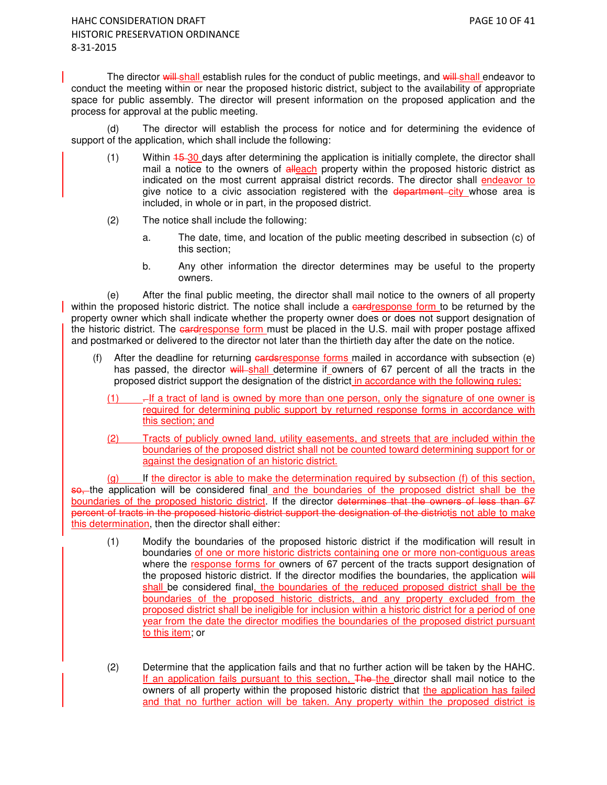The director will shall establish rules for the conduct of public meetings, and will shall endeavor to conduct the meeting within or near the proposed historic district, subject to the availability of appropriate space for public assembly. The director will present information on the proposed application and the process for approval at the public meeting.

(d) The director will establish the process for notice and for determining the evidence of support of the application, which shall include the following:

- (1) Within  $15-30$  days after determining the application is initially complete, the director shall mail a notice to the owners of alleach property within the proposed historic district as indicated on the most current appraisal district records. The director shall endeavor to give notice to a civic association registered with the department city whose area is included, in whole or in part, in the proposed district.
- (2) The notice shall include the following:
	- a. The date, time, and location of the public meeting described in subsection (c) of this section;
	- b. Any other information the director determines may be useful to the property owners.

(e) After the final public meeting, the director shall mail notice to the owners of all property within the proposed historic district. The notice shall include a eardresponse form to be returned by the property owner which shall indicate whether the property owner does or does not support designation of the historic district. The eardresponse form must be placed in the U.S. mail with proper postage affixed and postmarked or delivered to the director not later than the thirtieth day after the date on the notice.

- (f) After the deadline for returning  $\frac{1}{2}$  and  $\frac{1}{2}$  forms mailed in accordance with subsection (e) has passed, the director will shall determine if owners of 67 percent of all the tracts in the proposed district support the designation of the district in accordance with the following rules:
	- $(1)$  . If a tract of land is owned by more than one person, only the signature of one owner is required for determining public support by returned response forms in accordance with this section; and
	- (2) Tracts of publicly owned land, utility easements, and streets that are included within the boundaries of the proposed district shall not be counted toward determining support for or against the designation of an historic district.

(g) If the director is able to make the determination required by subsection (f) of this section, so, the application will be considered final and the boundaries of the proposed district shall be the boundaries of the proposed historic district. If the director determines that the owners of less than 67 percent of tracts in the proposed historic district support the designation of the districtis not able to make this determination, then the director shall either:

- (1) Modify the boundaries of the proposed historic district if the modification will result in boundaries of one or more historic districts containing one or more non-contiguous areas where the response forms for owners of 67 percent of the tracts support designation of the proposed historic district. If the director modifies the boundaries, the application will shall be considered final, the boundaries of the reduced proposed district shall be the boundaries of the proposed historic districts, and any property excluded from the proposed district shall be ineligible for inclusion within a historic district for a period of one year from the date the director modifies the boundaries of the proposed district pursuant to this item; or
- (2) Determine that the application fails and that no further action will be taken by the HAHC. If an application fails pursuant to this section, The the director shall mail notice to the owners of all property within the proposed historic district that the application has failed and that no further action will be taken. Any property within the proposed district is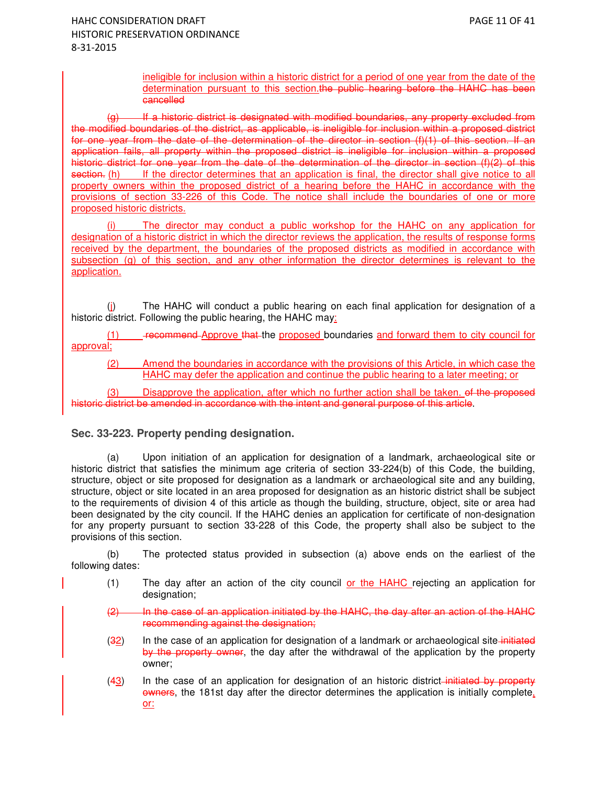ineligible for inclusion within a historic district for a period of one year from the date of the determination pursuant to this section.the public hearing before the HAHC has been cancelled

(g) If a historic district is designated with modified boundaries, any property excluded from the modified boundaries of the district, as applicable, is ineligible for inclusion within a proposed district for one year from the date of the determination of the director in section (f)(1) of this section. If an application fails, all property within the proposed district is ineligible for inclusion within a proposed historic district for one year from the date of the determination of the director in section (f)(2) of this section. (h) If the director determines that an application is final, the director shall give notice to all property owners within the proposed district of a hearing before the HAHC in accordance with the provisions of section 33-226 of this Code. The notice shall include the boundaries of one or more proposed historic districts.

(i) The director may conduct a public workshop for the HAHC on any application for designation of a historic district in which the director reviews the application, the results of response forms received by the department, the boundaries of the proposed districts as modified in accordance with subsection (g) of this section, and any other information the director determines is relevant to the application.

(j) The HAHC will conduct a public hearing on each final application for designation of a historic district. Following the public hearing, the HAHC may:

(1) recommend Approve that the proposed boundaries and forward them to city council for approval;

(2) Amend the boundaries in accordance with the provisions of this Article, in which case the HAHC may defer the application and continue the public hearing to a later meeting; or

(3) Disapprove the application, after which no further action shall be taken. of the proposed historic district be amended in accordance with the intent and general purpose of this article.

## **Sec. 33-223. Property pending designation.**

(a) Upon initiation of an application for designation of a landmark, archaeological site or historic district that satisfies the minimum age criteria of section 33-224(b) of this Code, the building, structure, object or site proposed for designation as a landmark or archaeological site and any building, structure, object or site located in an area proposed for designation as an historic district shall be subject to the requirements of division 4 of this article as though the building, structure, object, site or area had been designated by the city council. If the HAHC denies an application for certificate of non-designation for any property pursuant to section 33-228 of this Code, the property shall also be subject to the provisions of this section.

(b) The protected status provided in subsection (a) above ends on the earliest of the following dates:

- $(1)$  The day after an action of the city council or the HAHC rejecting an application for designation;
- $(2)$  In the case of an application initiated by the HAHC, the day after an action of the HAHC recommending against the designation;
- (32) In the case of an application for designation of a landmark or archaeological site initiated by the property owner, the day after the withdrawal of the application by the property owner;
- $(43)$  In the case of an application for designation of an historic district-initiated by property owners, the 181st day after the director determines the application is initially complete, or: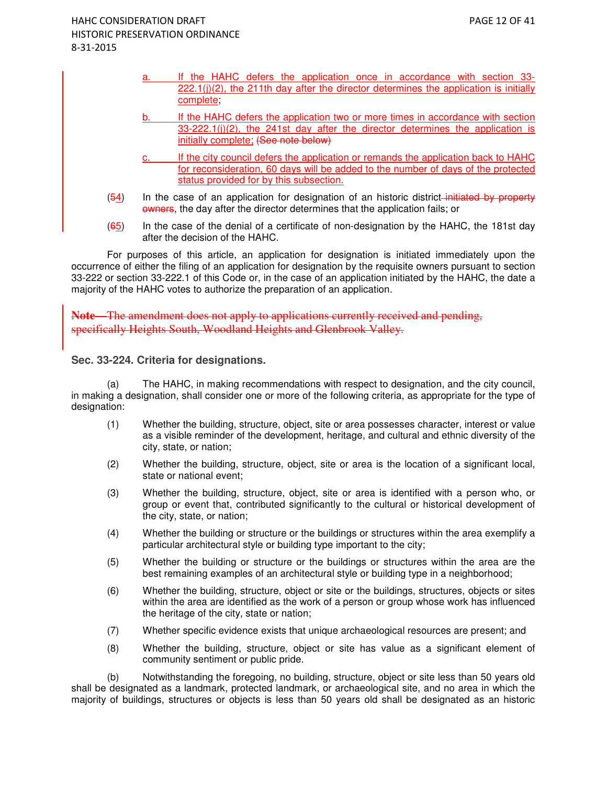- If the HAHC defers the application once in accordance with section 33- $222.1(j)(2)$ , the 211th day after the director determines the application is initially complete;
- b. If the HAHC defers the application two or more times in accordance with section  $33-222.1(j)(2)$ , the 241st day after the director determines the application is initially complete; (See note below)
- c. If the city council defers the application or remands the application back to HAHC for reconsideration, 60 days will be added to the number of days of the protected status provided for by this subsection.
- $(54)$  In the case of an application for designation of an historic district–initiated by property owners, the day after the director determines that the application fails; or
- (65) In the case of the denial of a certificate of non-designation by the HAHC, the 181st day after the decision of the HAHC.

For purposes of this article, an application for designation is initiated immediately upon the occurrence of either the filing of an application for designation by the requisite owners pursuant to section 33-222 or section 33-222.1 of this Code or, in the case of an application initiated by the HAHC, the date a majority of the HAHC votes to authorize the preparation of an application.

**Note—**The amendment does not apply to applications currently received and pending, specifically Heights South, Woodland Heights and Glenbrook Valley.

**Sec. 33-224. Criteria for designations.** 

(a) The HAHC, in making recommendations with respect to designation, and the city council, in making a designation, shall consider one or more of the following criteria, as appropriate for the type of designation:

- (1) Whether the building, structure, object, site or area possesses character, interest or value as a visible reminder of the development, heritage, and cultural and ethnic diversity of the city, state, or nation;
- (2) Whether the building, structure, object, site or area is the location of a significant local, state or national event;
- (3) Whether the building, structure, object, site or area is identified with a person who, or group or event that, contributed significantly to the cultural or historical development of the city, state, or nation;
- (4) Whether the building or structure or the buildings or structures within the area exemplify a particular architectural style or building type important to the city;
- (5) Whether the building or structure or the buildings or structures within the area are the best remaining examples of an architectural style or building type in a neighborhood;
- (6) Whether the building, structure, object or site or the buildings, structures, objects or sites within the area are identified as the work of a person or group whose work has influenced the heritage of the city, state or nation;
- (7) Whether specific evidence exists that unique archaeological resources are present; and
- (8) Whether the building, structure, object or site has value as a significant element of community sentiment or public pride.

(b) Notwithstanding the foregoing, no building, structure, object or site less than 50 years old shall be designated as a landmark, protected landmark, or archaeological site, and no area in which the majority of buildings, structures or objects is less than 50 years old shall be designated as an historic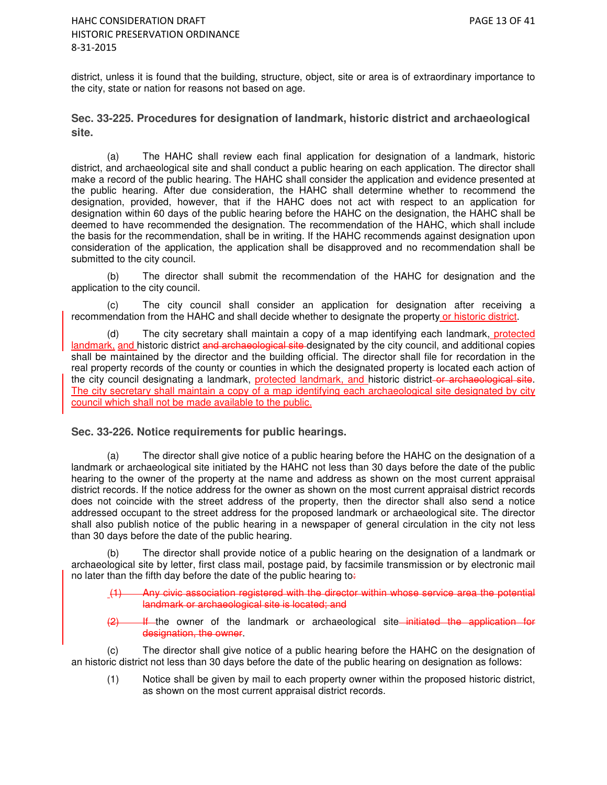district, unless it is found that the building, structure, object, site or area is of extraordinary importance to the city, state or nation for reasons not based on age.

**Sec. 33-225. Procedures for designation of landmark, historic district and archaeological site.** 

(a) The HAHC shall review each final application for designation of a landmark, historic district, and archaeological site and shall conduct a public hearing on each application. The director shall make a record of the public hearing. The HAHC shall consider the application and evidence presented at the public hearing. After due consideration, the HAHC shall determine whether to recommend the designation, provided, however, that if the HAHC does not act with respect to an application for designation within 60 days of the public hearing before the HAHC on the designation, the HAHC shall be deemed to have recommended the designation. The recommendation of the HAHC, which shall include the basis for the recommendation, shall be in writing. If the HAHC recommends against designation upon consideration of the application, the application shall be disapproved and no recommendation shall be submitted to the city council.

(b) The director shall submit the recommendation of the HAHC for designation and the application to the city council.

(c) The city council shall consider an application for designation after receiving a recommendation from the HAHC and shall decide whether to designate the property or historic district.

(d) The city secretary shall maintain a copy of a map identifying each landmark, protected landmark, and historic district and archaeological site designated by the city council, and additional copies shall be maintained by the director and the building official. The director shall file for recordation in the real property records of the county or counties in which the designated property is located each action of the city council designating a landmark, protected landmark, and historic district-or archaeological site. The city secretary shall maintain a copy of a map identifying each archaeological site designated by city council which shall not be made available to the public.

## **Sec. 33-226. Notice requirements for public hearings.**

(a) The director shall give notice of a public hearing before the HAHC on the designation of a landmark or archaeological site initiated by the HAHC not less than 30 days before the date of the public hearing to the owner of the property at the name and address as shown on the most current appraisal district records. If the notice address for the owner as shown on the most current appraisal district records does not coincide with the street address of the property, then the director shall also send a notice addressed occupant to the street address for the proposed landmark or archaeological site. The director shall also publish notice of the public hearing in a newspaper of general circulation in the city not less than 30 days before the date of the public hearing.

(b) The director shall provide notice of a public hearing on the designation of a landmark or archaeological site by letter, first class mail, postage paid, by facsimile transmission or by electronic mail no later than the fifth day before the date of the public hearing to:

Any civic association registered with the director within whose service area the potential landmark or archaeological site is located; and

(2) If the owner of the landmark or archaeological site initiated the application for designation, the owner.

(c) The director shall give notice of a public hearing before the HAHC on the designation of an historic district not less than 30 days before the date of the public hearing on designation as follows:

(1) Notice shall be given by mail to each property owner within the proposed historic district, as shown on the most current appraisal district records.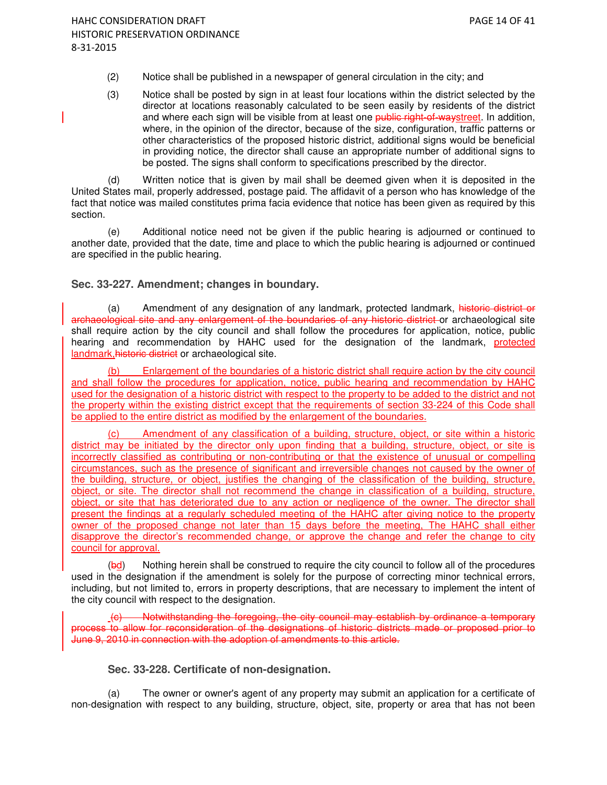- (2) Notice shall be published in a newspaper of general circulation in the city; and
- (3) Notice shall be posted by sign in at least four locations within the district selected by the director at locations reasonably calculated to be seen easily by residents of the district and where each sign will be visible from at least one public right-of-waystreet. In addition, where, in the opinion of the director, because of the size, configuration, traffic patterns or other characteristics of the proposed historic district, additional signs would be beneficial in providing notice, the director shall cause an appropriate number of additional signs to be posted. The signs shall conform to specifications prescribed by the director.

(d) Written notice that is given by mail shall be deemed given when it is deposited in the United States mail, properly addressed, postage paid. The affidavit of a person who has knowledge of the fact that notice was mailed constitutes prima facia evidence that notice has been given as required by this section.

(e) Additional notice need not be given if the public hearing is adjourned or continued to another date, provided that the date, time and place to which the public hearing is adjourned or continued are specified in the public hearing.

### **Sec. 33-227. Amendment; changes in boundary.**

(a) Amendment of any designation of any landmark, protected landmark, historic district or archaeological site and any enlargement of the boundaries of any historic district or archaeological site shall require action by the city council and shall follow the procedures for application, notice, public hearing and recommendation by HAHC used for the designation of the landmark, protected landmark, historic district or archaeological site.

Enlargement of the boundaries of a historic district shall require action by the city council and shall follow the procedures for application, notice, public hearing and recommendation by HAHC used for the designation of a historic district with respect to the property to be added to the district and not the property within the existing district except that the requirements of section 33-224 of this Code shall be applied to the entire district as modified by the enlargement of the boundaries.

(c) Amendment of any classification of a building, structure, object, or site within a historic district may be initiated by the director only upon finding that a building, structure, object, or site is incorrectly classified as contributing or non-contributing or that the existence of unusual or compelling circumstances, such as the presence of significant and irreversible changes not caused by the owner of the building, structure, or object, justifies the changing of the classification of the building, structure, object, or site. The director shall not recommend the change in classification of a building, structure, object, or site that has deteriorated due to any action or negligence of the owner. The director shall present the findings at a regularly scheduled meeting of the HAHC after giving notice to the property owner of the proposed change not later than 15 days before the meeting, The HAHC shall either disapprove the director's recommended change, or approve the change and refer the change to city council for approval.

(bd) Nothing herein shall be construed to require the city council to follow all of the procedures used in the designation if the amendment is solely for the purpose of correcting minor technical errors, including, but not limited to, errors in property descriptions, that are necessary to implement the intent of the city council with respect to the designation.

Notwithstanding the foregoing, the city council may establish by ordinance a temporary process to allow for reconsideration of the designations of historic districts made or proposed prior to June 9, 2010 in connection with the adoption of amendments to this article.

## **Sec. 33-228. Certificate of non-designation.**

(a) The owner or owner's agent of any property may submit an application for a certificate of non-designation with respect to any building, structure, object, site, property or area that has not been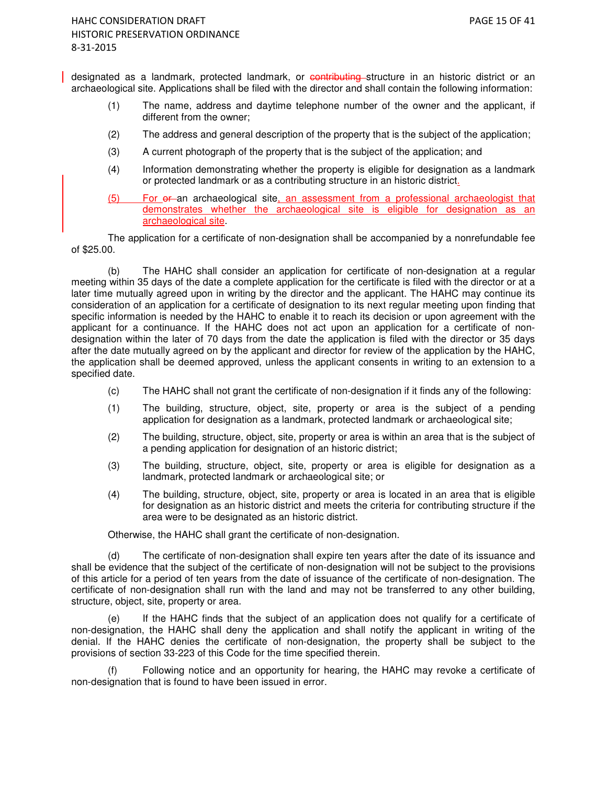designated as a landmark, protected landmark, or contributing structure in an historic district or an archaeological site. Applications shall be filed with the director and shall contain the following information:

- (1) The name, address and daytime telephone number of the owner and the applicant, if different from the owner;
- (2) The address and general description of the property that is the subject of the application;
- (3) A current photograph of the property that is the subject of the application; and
- (4) Information demonstrating whether the property is eligible for designation as a landmark or protected landmark or as a contributing structure in an historic district.
- (5) For or an archaeological site, an assessment from a professional archaeologist that demonstrates whether the archaeological site is eligible for designation as an archaeological site.

The application for a certificate of non-designation shall be accompanied by a nonrefundable fee of \$25.00.

(b) The HAHC shall consider an application for certificate of non-designation at a regular meeting within 35 days of the date a complete application for the certificate is filed with the director or at a later time mutually agreed upon in writing by the director and the applicant. The HAHC may continue its consideration of an application for a certificate of designation to its next regular meeting upon finding that specific information is needed by the HAHC to enable it to reach its decision or upon agreement with the applicant for a continuance. If the HAHC does not act upon an application for a certificate of nondesignation within the later of 70 days from the date the application is filed with the director or 35 days after the date mutually agreed on by the applicant and director for review of the application by the HAHC, the application shall be deemed approved, unless the applicant consents in writing to an extension to a specified date.

- (c) The HAHC shall not grant the certificate of non-designation if it finds any of the following:
- (1) The building, structure, object, site, property or area is the subject of a pending application for designation as a landmark, protected landmark or archaeological site;
- (2) The building, structure, object, site, property or area is within an area that is the subject of a pending application for designation of an historic district;
- (3) The building, structure, object, site, property or area is eligible for designation as a landmark, protected landmark or archaeological site; or
- (4) The building, structure, object, site, property or area is located in an area that is eligible for designation as an historic district and meets the criteria for contributing structure if the area were to be designated as an historic district.

Otherwise, the HAHC shall grant the certificate of non-designation.

(d) The certificate of non-designation shall expire ten years after the date of its issuance and shall be evidence that the subject of the certificate of non-designation will not be subject to the provisions of this article for a period of ten years from the date of issuance of the certificate of non-designation. The certificate of non-designation shall run with the land and may not be transferred to any other building, structure, object, site, property or area.

(e) If the HAHC finds that the subject of an application does not qualify for a certificate of non-designation, the HAHC shall deny the application and shall notify the applicant in writing of the denial. If the HAHC denies the certificate of non-designation, the property shall be subject to the provisions of section 33-223 of this Code for the time specified therein.

(f) Following notice and an opportunity for hearing, the HAHC may revoke a certificate of non-designation that is found to have been issued in error.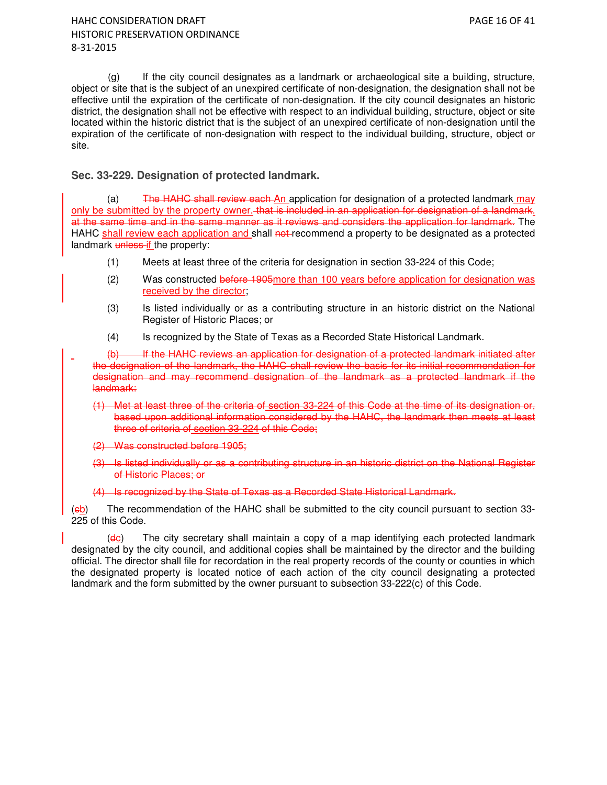(g) If the city council designates as a landmark or archaeological site a building, structure, object or site that is the subject of an unexpired certificate of non-designation, the designation shall not be effective until the expiration of the certificate of non-designation. If the city council designates an historic district, the designation shall not be effective with respect to an individual building, structure, object or site located within the historic district that is the subject of an unexpired certificate of non-designation until the expiration of the certificate of non-designation with respect to the individual building, structure, object or site.

### **Sec. 33-229. Designation of protected landmark.**

(a) The HAHC shall review each An application for designation of a protected landmark  $\frac{may}{x}$ only be submitted by the property owner. that is included in an application for designation of a landmark. at the same time and in the same manner as it reviews and considers the application for landmark. The HAHC shall review each application and shall not recommend a property to be designated as a protected landmark unless if the property:

- (1) Meets at least three of the criteria for designation in section 33-224 of this Code;
- (2) Was constructed before 1905more than 100 years before application for designation was received by the director;
- (3) Is listed individually or as a contributing structure in an historic district on the National Register of Historic Places; or
- (4) Is recognized by the State of Texas as a Recorded State Historical Landmark.
- (b) If the HAHC reviews an application for designation of a protected landmark initiated after the designation of the landmark, the HAHC shall review the basis for its initial recommendation for designation and may recommend designation of the landmark as a protected landmark if the landmark:
	- (1) Met at least three of the criteria of section 33-224 of this Code at the time of its designation or, based upon additional information considered by the HAHC, the landmark then meets at least three of criteria of section 33-224 of this Code;
	- (2) Was constructed before 1905;
	- (3) Is listed individually or as a contributing structure in an historic district on the National Register of Historic Places; or
	- (4) Is recognized by the State of Texas as a Recorded State Historical Landmark.

(cb) The recommendation of the HAHC shall be submitted to the city council pursuant to section 33- 225 of this Code.

 $(d<sub>C</sub>)$  The city secretary shall maintain a copy of a map identifying each protected landmark designated by the city council, and additional copies shall be maintained by the director and the building official. The director shall file for recordation in the real property records of the county or counties in which the designated property is located notice of each action of the city council designating a protected landmark and the form submitted by the owner pursuant to subsection 33-222(c) of this Code.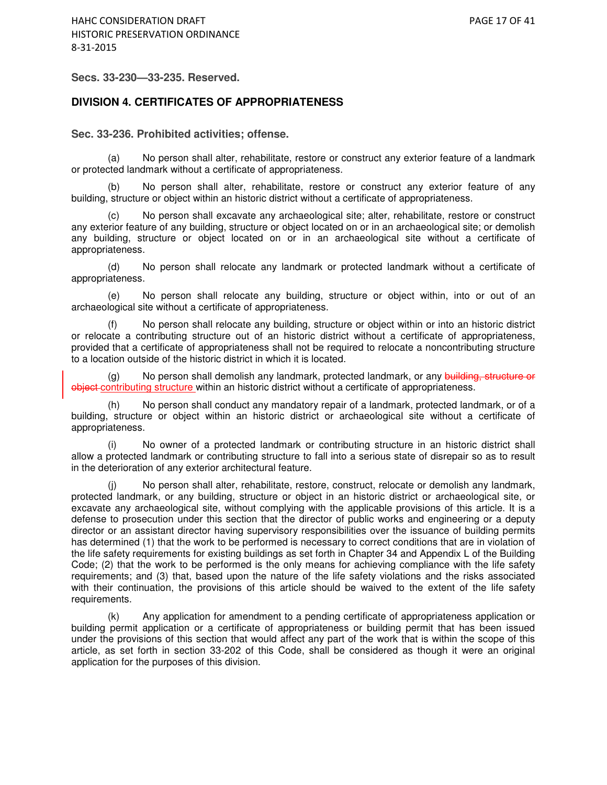**Secs. 33-230—33-235. Reserved.** 

#### **DIVISION 4. CERTIFICATES OF APPROPRIATENESS**

**Sec. 33-236. Prohibited activities; offense.** 

(a) No person shall alter, rehabilitate, restore or construct any exterior feature of a landmark or protected landmark without a certificate of appropriateness.

(b) No person shall alter, rehabilitate, restore or construct any exterior feature of any building, structure or object within an historic district without a certificate of appropriateness.

(c) No person shall excavate any archaeological site; alter, rehabilitate, restore or construct any exterior feature of any building, structure or object located on or in an archaeological site; or demolish any building, structure or object located on or in an archaeological site without a certificate of appropriateness.

(d) No person shall relocate any landmark or protected landmark without a certificate of appropriateness.

(e) No person shall relocate any building, structure or object within, into or out of an archaeological site without a certificate of appropriateness.

(f) No person shall relocate any building, structure or object within or into an historic district or relocate a contributing structure out of an historic district without a certificate of appropriateness, provided that a certificate of appropriateness shall not be required to relocate a noncontributing structure to a location outside of the historic district in which it is located.

(g) No person shall demolish any landmark, protected landmark, or any building, structure or object contributing structure within an historic district without a certificate of appropriateness.

(h) No person shall conduct any mandatory repair of a landmark, protected landmark, or of a building, structure or object within an historic district or archaeological site without a certificate of appropriateness.

(i) No owner of a protected landmark or contributing structure in an historic district shall allow a protected landmark or contributing structure to fall into a serious state of disrepair so as to result in the deterioration of any exterior architectural feature.

(j) No person shall alter, rehabilitate, restore, construct, relocate or demolish any landmark, protected landmark, or any building, structure or object in an historic district or archaeological site, or excavate any archaeological site, without complying with the applicable provisions of this article. It is a defense to prosecution under this section that the director of public works and engineering or a deputy director or an assistant director having supervisory responsibilities over the issuance of building permits has determined (1) that the work to be performed is necessary to correct conditions that are in violation of the life safety requirements for existing buildings as set forth in Chapter 34 and Appendix L of the Building Code; (2) that the work to be performed is the only means for achieving compliance with the life safety requirements; and (3) that, based upon the nature of the life safety violations and the risks associated with their continuation, the provisions of this article should be waived to the extent of the life safety requirements.

(k) Any application for amendment to a pending certificate of appropriateness application or building permit application or a certificate of appropriateness or building permit that has been issued under the provisions of this section that would affect any part of the work that is within the scope of this article, as set forth in section 33-202 of this Code, shall be considered as though it were an original application for the purposes of this division.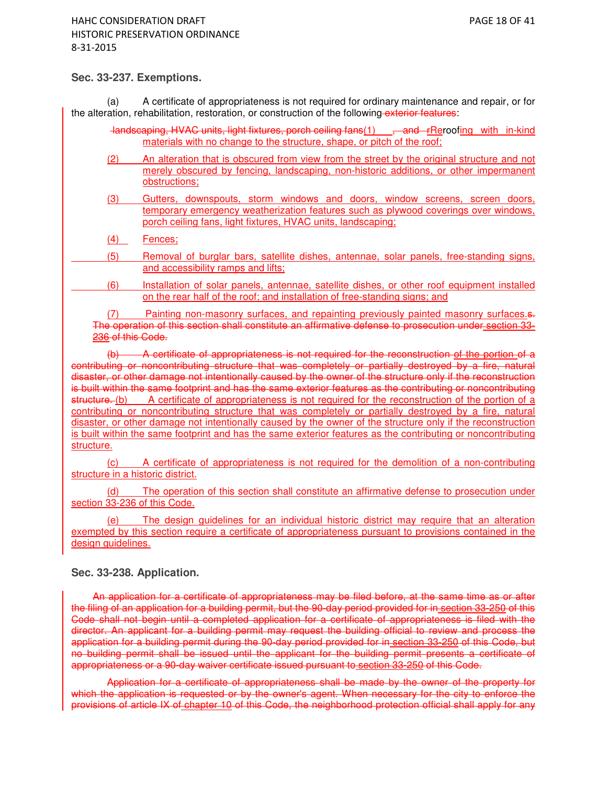### **Sec. 33-237. Exemptions.**

(a) A certificate of appropriateness is not required for ordinary maintenance and repair, or for the alteration, rehabilitation, restoration, or construction of the following exterior features:

- landscaping, HVAC units, light fixtures, porch ceiling fans(1) , and rReroofing with in-kind materials with no change to the structure, shape, or pitch of the roof;
- (2) An alteration that is obscured from view from the street by the original structure and not merely obscured by fencing, landscaping, non-historic additions, or other impermanent obstructions;
- (3) Gutters, downspouts, storm windows and doors, window screens, screen doors, temporary emergency weatherization features such as plywood coverings over windows, porch ceiling fans, light fixtures, HVAC units, landscaping;
- (4) Fences;

 (5) Removal of burglar bars, satellite dishes, antennae, solar panels, free-standing signs, and accessibility ramps and lifts;

 (6) Installation of solar panels, antennae, satellite dishes, or other roof equipment installed on the rear half of the roof; and installation of free-standing signs; and

(7) Painting non-masonry surfaces, and repainting previously painted masonry surfaces. The operation of this section shall constitute an affirmative defense to prosecution under section 33- 236 of this Code.

(b) A certificate of appropriateness is not required for the reconstruction of the portion of a contributing or noncontributing structure that was completely or partially destroyed by a fire, natural disaster, or other damage not intentionally caused by the owner of the structure only if the reconstruction is built within the same footprint and has the same exterior features as the contributing or noncontributing structure. (b) A certificate of appropriateness is not required for the reconstruction of the portion of a contributing or noncontributing structure that was completely or partially destroyed by a fire, natural disaster, or other damage not intentionally caused by the owner of the structure only if the reconstruction is built within the same footprint and has the same exterior features as the contributing or noncontributing structure.

(c) A certificate of appropriateness is not required for the demolition of a non-contributing structure in a historic district.

(d) The operation of this section shall constitute an affirmative defense to prosecution under section 33-236 of this Code.

The design guidelines for an individual historic district may require that an alteration exempted by this section require a certificate of appropriateness pursuant to provisions contained in the design guidelines.

## **Sec. 33-238. Application.**

An application for a certificate of appropriateness may be filed before, at the same time as or after the filing of an application for a building permit, but the 90-day period provided for in section 33-250 of this Code shall not begin until a completed application for a certificate of appropriateness is filed with the director. An applicant for a building permit may request the building official to review and process the application for a building permit during the 90-day period provided for in section 33-250 of this Code, but no building permit shall be issued until the applicant for the building permit presents a certificate of appropriateness or a 90-day waiver certificate issued pursuant to section 33-250 of this Code.

Application for a certificate of appropriateness shall be made by the owner of the property for which the application is requested or by the owner's agent. When necessary for the city to enforce the provisions of article IX of chapter 10 of this Code, the neighborhood protection official shall apply for any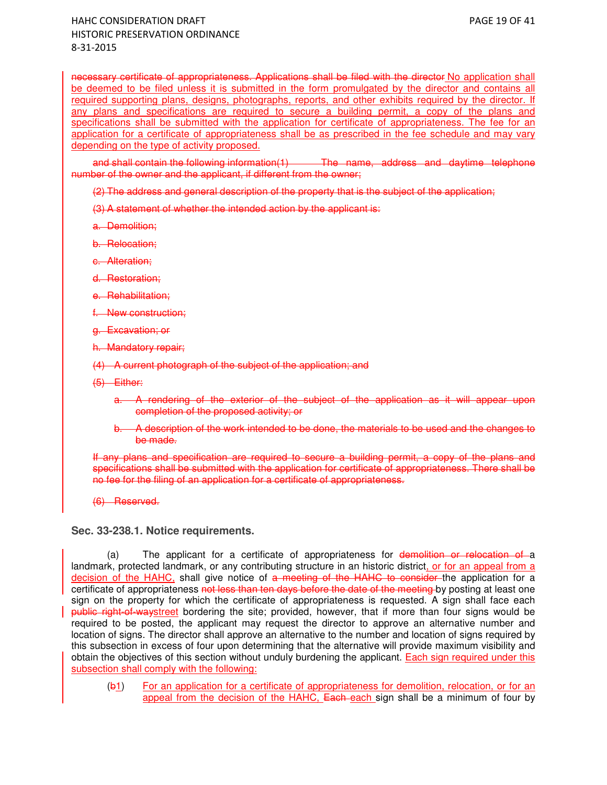necessary certificate of appropriateness. Applications shall be filed with the director No application shall be deemed to be filed unless it is submitted in the form promulgated by the director and contains all required supporting plans, designs, photographs, reports, and other exhibits required by the director. If any plans and specifications are required to secure a building permit, a copy of the plans and specifications shall be submitted with the application for certificate of appropriateness. The fee for an application for a certificate of appropriateness shall be as prescribed in the fee schedule and may vary depending on the type of activity proposed.

and shall contain the following information(1) The name, address and daytime telephone number of the owner and the applicant, if different from the owner;

(2) The address and general description of the property that is the subject of the application;

(3) A statement of whether the intended action by the applicant is:

a. Demolition;

b. Relocation;

c. Alteration;

d. Restoration;

**Rehabilitation:** 

f. New construction;

g. Excavation; or

h. Mandatory repair;

(4) A current photograph of the subject of the application; and

(5) Either:

- a. A rendering of the exterior of the subject of the application as it will appear upon completion of the proposed activity; or
- b. A description of the work intended to be done, the materials to be used and the changes to be made.

If any plans and specification are required to secure a building permit, a copy of the plans and specifications shall be submitted with the application for certificate of appropriateness. There shall be no fee for the filing of an application for a certificate of appropriateness.

(6) Reserved.

**Sec. 33-238.1. Notice requirements.** 

(a) The applicant for a certificate of appropriateness for demolition or relocation of a landmark, protected landmark, or any contributing structure in an historic district, or for an appeal from a decision of the HAHC, shall give notice of a meeting of the HAHC to consider the application for a certificate of appropriateness not less than ten days before the date of the meeting by posting at least one sign on the property for which the certificate of appropriateness is requested. A sign shall face each public right-of-waystreet bordering the site; provided, however, that if more than four signs would be required to be posted, the applicant may request the director to approve an alternative number and location of signs. The director shall approve an alternative to the number and location of signs required by this subsection in excess of four upon determining that the alternative will provide maximum visibility and obtain the objectives of this section without unduly burdening the applicant. Each sign required under this subsection shall comply with the following:

(b1) For an application for a certificate of appropriateness for demolition, relocation, or for an appeal from the decision of the HAHC, Each each sign shall be a minimum of four by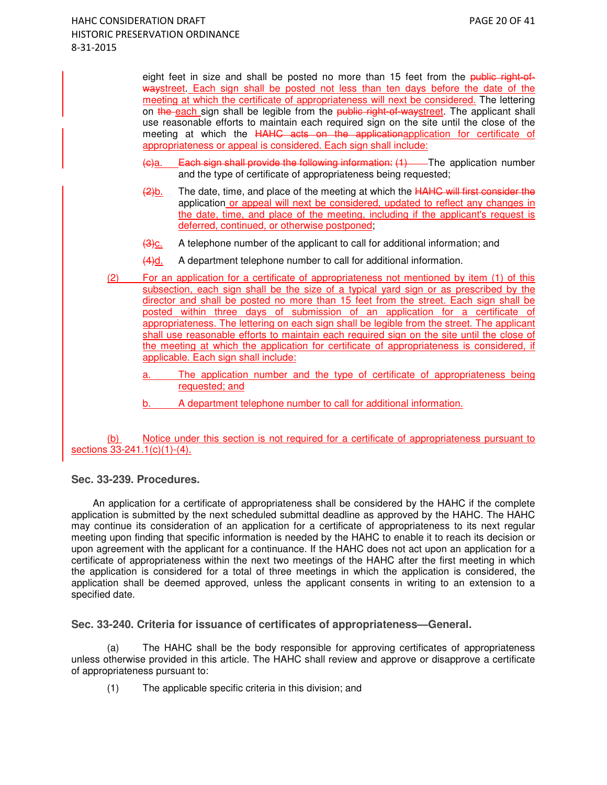eight feet in size and shall be posted no more than 15 feet from the public right-ofwaystreet. Each sign shall be posted not less than ten days before the date of the meeting at which the certificate of appropriateness will next be considered. The lettering on the each sign shall be legible from the public right-of-waystreet. The applicant shall use reasonable efforts to maintain each required sign on the site until the close of the meeting at which the HAHC acts on the applicationapplication for certificate of appropriateness or appeal is considered. Each sign shall include:

- $\left\langle \Theta \right\rangle$ a. Each sign shall provide the following information:  $(1)$  The application number and the type of certificate of appropriateness being requested;
- $\frac{2}{b}$ . The date, time, and place of the meeting at which the HAHC will first consider the application or appeal will next be considered, updated to reflect any changes in the date, time, and place of the meeting, including if the applicant's request is deferred, continued, or otherwise postponed;
- $\frac{1}{(3)c}$ . A telephone number of the applicant to call for additional information; and
- (4)d. A department telephone number to call for additional information.
- (2) For an application for a certificate of appropriateness not mentioned by item (1) of this subsection, each sign shall be the size of a typical yard sign or as prescribed by the director and shall be posted no more than 15 feet from the street. Each sign shall be posted within three days of submission of an application for a certificate of appropriateness. The lettering on each sign shall be legible from the street. The applicant shall use reasonable efforts to maintain each required sign on the site until the close of the meeting at which the application for certificate of appropriateness is considered, if applicable. Each sign shall include:
	- a. The application number and the type of certificate of appropriateness being requested; and
	- b. A department telephone number to call for additional information.

(b) Notice under this section is not required for a certificate of appropriateness pursuant to sections 33-241.1(c)(1)-(4).

**Sec. 33-239. Procedures.** 

An application for a certificate of appropriateness shall be considered by the HAHC if the complete application is submitted by the next scheduled submittal deadline as approved by the HAHC. The HAHC may continue its consideration of an application for a certificate of appropriateness to its next regular meeting upon finding that specific information is needed by the HAHC to enable it to reach its decision or upon agreement with the applicant for a continuance. If the HAHC does not act upon an application for a certificate of appropriateness within the next two meetings of the HAHC after the first meeting in which the application is considered for a total of three meetings in which the application is considered, the application shall be deemed approved, unless the applicant consents in writing to an extension to a specified date.

**Sec. 33-240. Criteria for issuance of certificates of appropriateness—General.** 

(a) The HAHC shall be the body responsible for approving certificates of appropriateness unless otherwise provided in this article. The HAHC shall review and approve or disapprove a certificate of appropriateness pursuant to:

(1) The applicable specific criteria in this division; and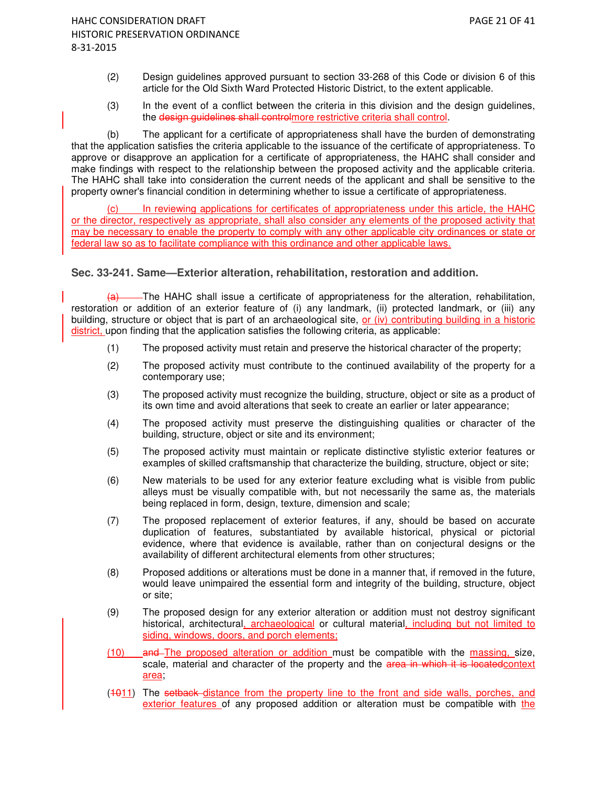- (2) Design guidelines approved pursuant to section 33-268 of this Code or division 6 of this article for the Old Sixth Ward Protected Historic District, to the extent applicable.
- (3) In the event of a conflict between the criteria in this division and the design guidelines, the design guidelines shall controlmore restrictive criteria shall control.

(b) The applicant for a certificate of appropriateness shall have the burden of demonstrating that the application satisfies the criteria applicable to the issuance of the certificate of appropriateness. To approve or disapprove an application for a certificate of appropriateness, the HAHC shall consider and make findings with respect to the relationship between the proposed activity and the applicable criteria. The HAHC shall take into consideration the current needs of the applicant and shall be sensitive to the property owner's financial condition in determining whether to issue a certificate of appropriateness.

(c) In reviewing applications for certificates of appropriateness under this article, the HAHC or the director, respectively as appropriate, shall also consider any elements of the proposed activity that may be necessary to enable the property to comply with any other applicable city ordinances or state or federal law so as to facilitate compliance with this ordinance and other applicable laws.

### **Sec. 33-241. Same—Exterior alteration, rehabilitation, restoration and addition.**

 $\overline{a}$  The HAHC shall issue a certificate of appropriateness for the alteration, rehabilitation, restoration or addition of an exterior feature of (i) any landmark, (ii) protected landmark, or (iii) any building, structure or object that is part of an archaeological site, or (iv) contributing building in a historic district, upon finding that the application satisfies the following criteria, as applicable:

- (1) The proposed activity must retain and preserve the historical character of the property;
- (2) The proposed activity must contribute to the continued availability of the property for a contemporary use;
- (3) The proposed activity must recognize the building, structure, object or site as a product of its own time and avoid alterations that seek to create an earlier or later appearance;
- (4) The proposed activity must preserve the distinguishing qualities or character of the building, structure, object or site and its environment;
- (5) The proposed activity must maintain or replicate distinctive stylistic exterior features or examples of skilled craftsmanship that characterize the building, structure, object or site;
- (6) New materials to be used for any exterior feature excluding what is visible from public alleys must be visually compatible with, but not necessarily the same as, the materials being replaced in form, design, texture, dimension and scale;
- (7) The proposed replacement of exterior features, if any, should be based on accurate duplication of features, substantiated by available historical, physical or pictorial evidence, where that evidence is available, rather than on conjectural designs or the availability of different architectural elements from other structures;
- (8) Proposed additions or alterations must be done in a manner that, if removed in the future, would leave unimpaired the essential form and integrity of the building, structure, object or site;
- (9) The proposed design for any exterior alteration or addition must not destroy significant historical, architectural, archaeological or cultural material, including but not limited to siding, windows, doors, and porch elements;
- (10) and The proposed alteration or addition must be compatible with the massing, size, scale, material and character of the property and the area in which it is located context area;
- (4011) The setback distance from the property line to the front and side walls, porches, and exterior features of any proposed addition or alteration must be compatible with the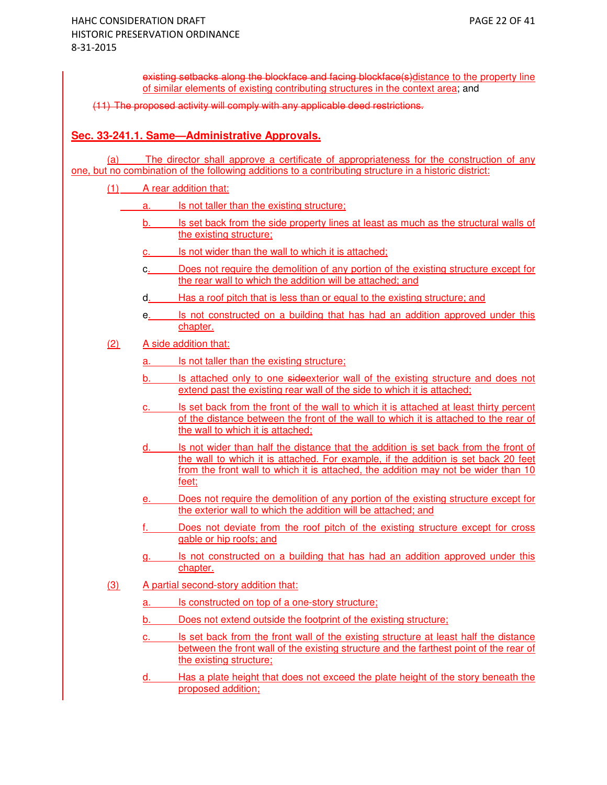existing setbacks along the blockface and facing blockface(s)distance to the property line of similar elements of existing contributing structures in the context area; and

(11) The proposed activity will comply with any applicable deed restrictions.

# **Sec. 33-241.1. Same—Administrative Approvals.**

(a) The director shall approve a certificate of appropriateness for the construction of any one, but no combination of the following additions to a contributing structure in a historic district:

- (1) A rear addition that:
	- a. Is not taller than the existing structure;
		- b. Is set back from the side property lines at least as much as the structural walls of the existing structure;
		- c. Is not wider than the wall to which it is attached;
		- c. Does not require the demolition of any portion of the existing structure except for the rear wall to which the addition will be attached; and
		- d. Has a roof pitch that is less than or equal to the existing structure; and
		- e. Is not constructed on a building that has had an addition approved under this chapter.
- (2) A side addition that:
	- a. Is not taller than the existing structure;
	- b. Is attached only to one sideexterior wall of the existing structure and does not extend past the existing rear wall of the side to which it is attached;
	- c. Is set back from the front of the wall to which it is attached at least thirty percent of the distance between the front of the wall to which it is attached to the rear of the wall to which it is attached;
	- d. Is not wider than half the distance that the addition is set back from the front of the wall to which it is attached. For example, if the addition is set back 20 feet from the front wall to which it is attached, the addition may not be wider than 10 feet;
	- e. Does not require the demolition of any portion of the existing structure except for the exterior wall to which the addition will be attached; and
	- f. Does not deviate from the roof pitch of the existing structure except for cross gable or hip roofs; and
	- g. Is not constructed on a building that has had an addition approved under this chapter.
- (3) A partial second-story addition that:
	- a. Is constructed on top of a one-story structure;
	- b. Does not extend outside the footprint of the existing structure;
	- c. Is set back from the front wall of the existing structure at least half the distance between the front wall of the existing structure and the farthest point of the rear of the existing structure;
	- d. Has a plate height that does not exceed the plate height of the story beneath the proposed addition;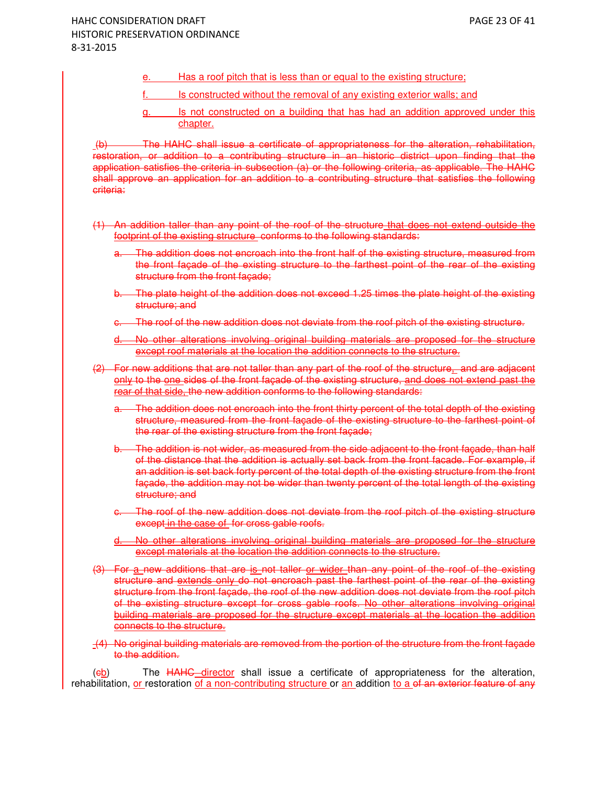- e. Has a roof pitch that is less than or equal to the existing structure;
- f. Is constructed without the removal of any existing exterior walls; and
- g. Is not constructed on a building that has had an addition approved under this chapter.

 (b) The HAHC shall issue a certificate of appropriateness for the alteration, rehabilitation, restoration, or addition to a contributing structure in an historic district upon finding that the application satisfies the criteria in subsection (a) or the following criteria, as applicable. The HAHC shall approve an application for an addition to a contributing structure that satisfies the following criteria:

- (1) An addition taller than any point of the roof of the structure that does not extend outside the footprint of the existing structure conforms to the following standards:
	- The addition does not encroach into the front half of the existing structure, measured from the front façade of the existing structure to the farthest point of the rear of the existing structure from the front facade;
	- b. The plate height of the addition does not exceed 1.25 times the plate height of the existing structure; and
	- The roof of the new addition does not deviate from the roof pitch of the existing structure.
	- d. No other alterations involving original building materials are proposed for the structure except roof materials at the location the addition connects to the structure.
- (2) For new additions that are not taller than any part of the roof of the structure, and are adjacent only to the one sides of the front façade of the existing structure, and does not extend past the rear of that side, the new addition conforms to the following standards:
	- The addition does not encroach into the front thirty percent of the total depth of the existing structure, measured from the front façade of the existing structure to the farthest point of the rear of the existing structure from the front façade;
	- b. The addition is not wider, as measured from the side adjacent to the front façade, than half of the distance that the addition is actually set back from the front facade. For example, if an addition is set back forty percent of the total depth of the existing structure from the front façade, the addition may not be wider than twenty percent of the total length of the existing structure; and
	- The roof of the new addition does not deviate from the roof pitch of the existing structure except in the case of for cross gable roofs.
	- d. No other alterations involving original building materials are proposed for the structure except materials at the location the addition connects to the structure.
- (3) For a new additions that are is not taller or wider than any point of the roof of the existing structure and extends only do not encroach past the farthest point of the rear of the existing structure from the front façade, the roof of the new addition does not deviate from the roof pitch of the existing structure except for cross gable roofs. No other alterations involving original building materials are proposed for the structure except materials at the location the addition connects to the structure.
- (4) No original building materials are removed from the portion of the structure from the front façade to the addition.

(eb) The HAHC director shall issue a certificate of appropriateness for the alteration, rehabilitation, or restoration of a non-contributing structure or an addition to a of an exterior feature of any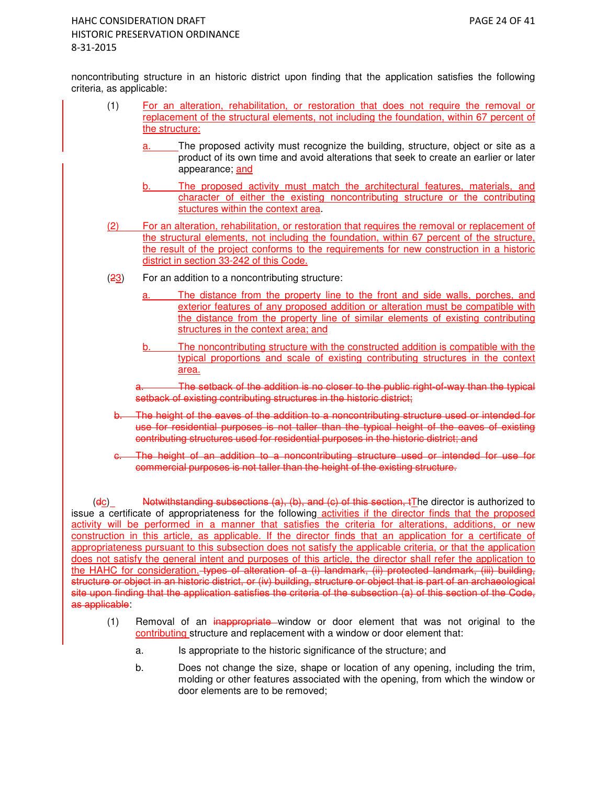noncontributing structure in an historic district upon finding that the application satisfies the following criteria, as applicable:

- (1) For an alteration, rehabilitation, or restoration that does not require the removal or replacement of the structural elements, not including the foundation, within 67 percent of the structure:
	- a. The proposed activity must recognize the building, structure, object or site as a product of its own time and avoid alterations that seek to create an earlier or later appearance; and
	- b. The proposed activity must match the architectural features, materials, and character of either the existing noncontributing structure or the contributing stuctures within the context area.
- (2) For an alteration, rehabilitation, or restoration that requires the removal or replacement of the structural elements, not including the foundation, within 67 percent of the structure, the result of the project conforms to the requirements for new construction in a historic district in section 33-242 of this Code.
- $(23)$  For an addition to a noncontributing structure:
	- a. The distance from the property line to the front and side walls, porches, and exterior features of any proposed addition or alteration must be compatible with the distance from the property line of similar elements of existing contributing structures in the context area; and
	- b. The noncontributing structure with the constructed addition is compatible with the typical proportions and scale of existing contributing structures in the context area.

The setback of the addition is no closer to the public right-of-way than the typical setback of existing contributing structures in the historic district:

- b. The height of the eaves of the addition to a noncontributing structure used or intended for use for residential purposes is not taller than the typical height of the eaves of existing contributing structures used for residential purposes in the historic district; and
- The height of an addition to a noncontributing structure used or intended for use for commercial purposes is not taller than the height of the existing structure.

 $(dc)$  Notwithstanding subsections  $(a)$ ,  $(b)$ , and  $(c)$  of this section, tThe director is authorized to issue a certificate of appropriateness for the following activities if the director finds that the proposed activity will be performed in a manner that satisfies the criteria for alterations, additions, or new construction in this article, as applicable. If the director finds that an application for a certificate of appropriateness pursuant to this subsection does not satisfy the applicable criteria, or that the application does not satisfy the general intent and purposes of this article, the director shall refer the application to the HAHC for consideration. types of alteration of a (i) landmark, (ii) protected landmark, (iii) building, structure or object in an historic district, or (iv) building, structure or object that is part of an archaeological site upon finding that the application satisfies the criteria of the subsection (a) of this section of the Code, as applicable:

- (1) Removal of an inappropriate window or door element that was not original to the contributing structure and replacement with a window or door element that:
	- a. Is appropriate to the historic significance of the structure; and
	- b. Does not change the size, shape or location of any opening, including the trim, molding or other features associated with the opening, from which the window or door elements are to be removed;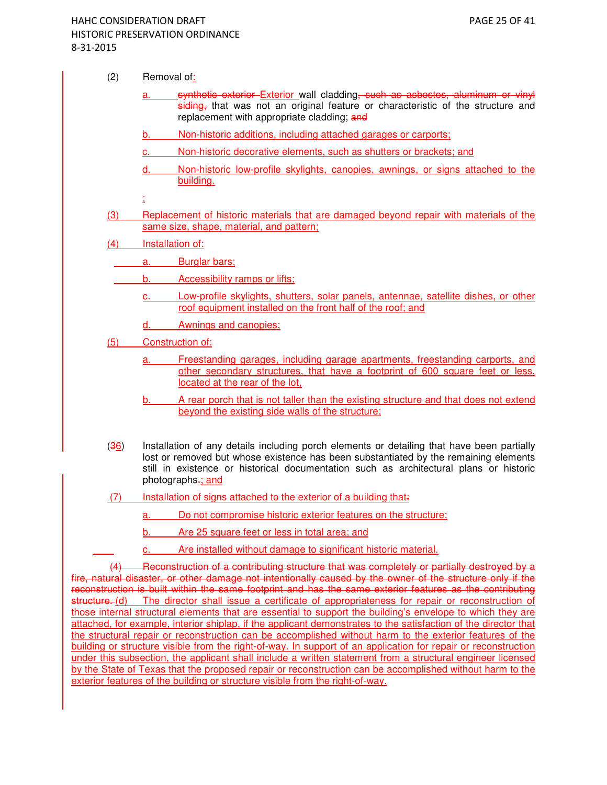- $(2)$  Removal of:
	- synthetic exterior Exterior wall cladding, such as asbestos, aluminum or vinyl siding, that was not an original feature or characteristic of the structure and replacement with appropriate cladding; and
	- b. Non-historic additions, including attached garages or carports;
	- c. Non-historic decorative elements, such as shutters or brackets; and
	- d. Non-historic low-profile skylights, canopies, awnings, or signs attached to the building.
	- ;
- (3) Replacement of historic materials that are damaged beyond repair with materials of the same size, shape, material, and pattern;
- (4) Installation of:
	- a. Burglar bars;
		- b. Accessibility ramps or lifts;
			- c. Low-profile skylights, shutters, solar panels, antennae, satellite dishes, or other roof equipment installed on the front half of the roof; and
			- d. Awnings and canopies;
- (5) Construction of:
	- a. Freestanding garages, including garage apartments, freestanding carports, and other secondary structures, that have a footprint of 600 square feet or less, located at the rear of the lot,
	- b. A rear porch that is not taller than the existing structure and that does not extend beyond the existing side walls of the structure;
- (36) Installation of any details including porch elements or detailing that have been partially lost or removed but whose existence has been substantiated by the remaining elements still in existence or historical documentation such as architectural plans or historic photographs-; and
- (7) Installation of signs attached to the exterior of a building that:
	- a. Do not compromise historic exterior features on the structure;
	- b. Are 25 square feet or less in total area; and
	- c. Are installed without damage to significant historic material.

(4) Reconstruction of a contributing structure that was completely or partially destroyed by a fire, natural disaster, or other damage not intentionally caused by the owner of the structure only if the reconstruction is built within the same footprint and has the same exterior features as the contributing structure. (d) The director shall issue a certificate of appropriateness for repair or reconstruction of those internal structural elements that are essential to support the building's envelope to which they are attached, for example, interior shiplap, if the applicant demonstrates to the satisfaction of the director that the structural repair or reconstruction can be accomplished without harm to the exterior features of the building or structure visible from the right-of-way. In support of an application for repair or reconstruction under this subsection, the applicant shall include a written statement from a structural engineer licensed by the State of Texas that the proposed repair or reconstruction can be accomplished without harm to the exterior features of the building or structure visible from the right-of-way.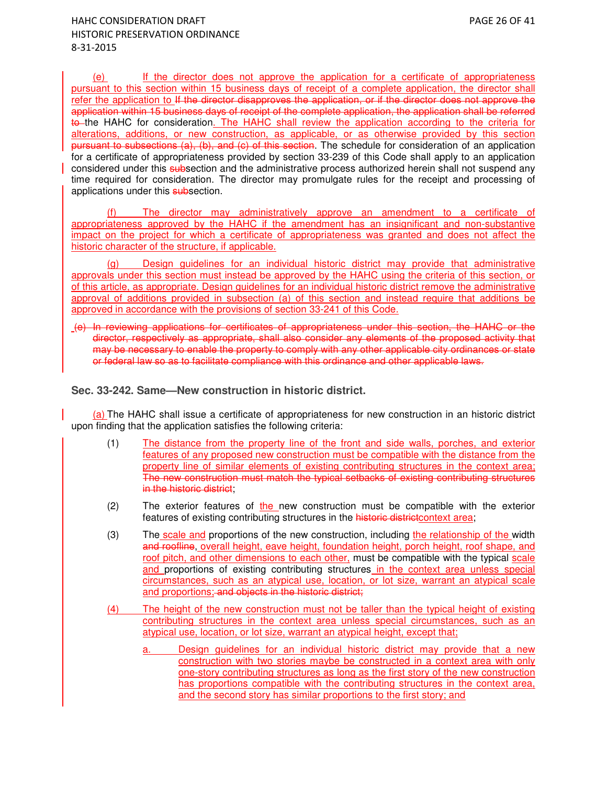(e) If the director does not approve the application for a certificate of appropriateness pursuant to this section within 15 business days of receipt of a complete application, the director shall refer the application to If the director disapproves the application, or if the director does not approve the application within 15 business days of receipt of the complete application, the application shall be referred to the HAHC for consideration. The HAHC shall review the application according to the criteria for alterations, additions, or new construction, as applicable, or as otherwise provided by this section pursuant to subsections (a), (b), and (c) of this section. The schedule for consideration of an application for a certificate of appropriateness provided by section 33-239 of this Code shall apply to an application considered under this subsection and the administrative process authorized herein shall not suspend any time required for consideration. The director may promulgate rules for the receipt and processing of applications under this subsection.

(f) The director may administratively approve an amendment to a certificate of appropriateness approved by the HAHC if the amendment has an insignificant and non-substantive impact on the project for which a certificate of appropriateness was granted and does not affect the historic character of the structure, if applicable.

(g) Design guidelines for an individual historic district may provide that administrative approvals under this section must instead be approved by the HAHC using the criteria of this section, or of this article, as appropriate. Design guidelines for an individual historic district remove the administrative approval of additions provided in subsection (a) of this section and instead require that additions be approved in accordance with the provisions of section 33-241 of this Code.

 (e) In reviewing applications for certificates of appropriateness under this section, the HAHC or the director, respectively as appropriate, shall also consider any elements of the proposed activity that may be necessary to enable the property to comply with any other applicable city ordinances or state or federal law so as to facilitate compliance with this ordinance and other applicable laws.

### **Sec. 33-242. Same—New construction in historic district.**

(a) The HAHC shall issue a certificate of appropriateness for new construction in an historic district upon finding that the application satisfies the following criteria:

- (1) The distance from the property line of the front and side walls, porches, and exterior features of any proposed new construction must be compatible with the distance from the property line of similar elements of existing contributing structures in the context area; The new construction must match the typical setbacks of existing contributing structures in the historic district;
- (2) The exterior features of the new construction must be compatible with the exterior features of existing contributing structures in the historic district context area;
- (3) The scale and proportions of the new construction, including the relationship of the width and roofline, overall height, eave height, foundation height, porch height, roof shape, and roof pitch, and other dimensions to each other, must be compatible with the typical scale and proportions of existing contributing structures in the context area unless special circumstances, such as an atypical use, location, or lot size, warrant an atypical scale and proportions; and objects in the historic district;
- (4) The height of the new construction must not be taller than the typical height of existing contributing structures in the context area unless special circumstances, such as an atypical use, location, or lot size, warrant an atypical height, except that;
	- a. Design guidelines for an individual historic district may provide that a new construction with two stories maybe be constructed in a context area with only one-story contributing structures as long as the first story of the new construction has proportions compatible with the contributing structures in the context area, and the second story has similar proportions to the first story; and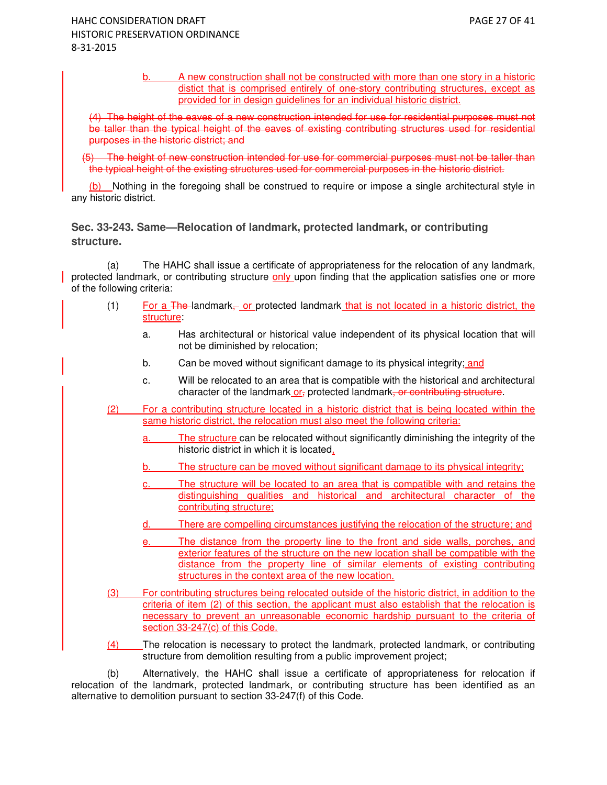b. A new construction shall not be constructed with more than one story in a historic distict that is comprised entirely of one-story contributing structures, except as provided for in design guidelines for an individual historic district.

(4) The height of the eaves of a new construction intended for use for residential purposes must not be taller than the typical height of the eaves of existing contributing structures used for residential purposes in the historic district; and

The height of new construction intended for use for commercial purposes must not be taller than the typical height of the existing structures used for commercial purposes in the historic district.

(b) Nothing in the foregoing shall be construed to require or impose a single architectural style in any historic district.

# **Sec. 33-243. Same—Relocation of landmark, protected landmark, or contributing structure.**

(a) The HAHC shall issue a certificate of appropriateness for the relocation of any landmark, protected landmark, or contributing structure only upon finding that the application satisfies one or more of the following criteria:

- (1) For a The-landmark<sub> $\tau$ </sub> or protected landmark that is not located in a historic district, the structure:
	- a. Has architectural or historical value independent of its physical location that will not be diminished by relocation;
	- b. Can be moved without significant damage to its physical integrity; and
	- c. Will be relocated to an area that is compatible with the historical and architectural character of the landmark or, protected landmark, or contributing structure.
- (2) For a contributing structure located in a historic district that is being located within the same historic district, the relocation must also meet the following criteria:
	- a. The structure can be relocated without significantly diminishing the integrity of the historic district in which it is located,
	- b. The structure can be moved without significant damage to its physical integrity;
	- c. The structure will be located to an area that is compatible with and retains the distinguishing qualities and historical and architectural character of the contributing structure;
	- d. There are compelling circumstances justifying the relocation of the structure; and
	- e. The distance from the property line to the front and side walls, porches, and exterior features of the structure on the new location shall be compatible with the distance from the property line of similar elements of existing contributing structures in the context area of the new location.
- (3) For contributing structures being relocated outside of the historic district, in addition to the criteria of item (2) of this section, the applicant must also establish that the relocation is necessary to prevent an unreasonable economic hardship pursuant to the criteria of section 33-247(c) of this Code.
- (4) The relocation is necessary to protect the landmark, protected landmark, or contributing structure from demolition resulting from a public improvement project;

(b) Alternatively, the HAHC shall issue a certificate of appropriateness for relocation if relocation of the landmark, protected landmark, or contributing structure has been identified as an alternative to demolition pursuant to section 33-247(f) of this Code.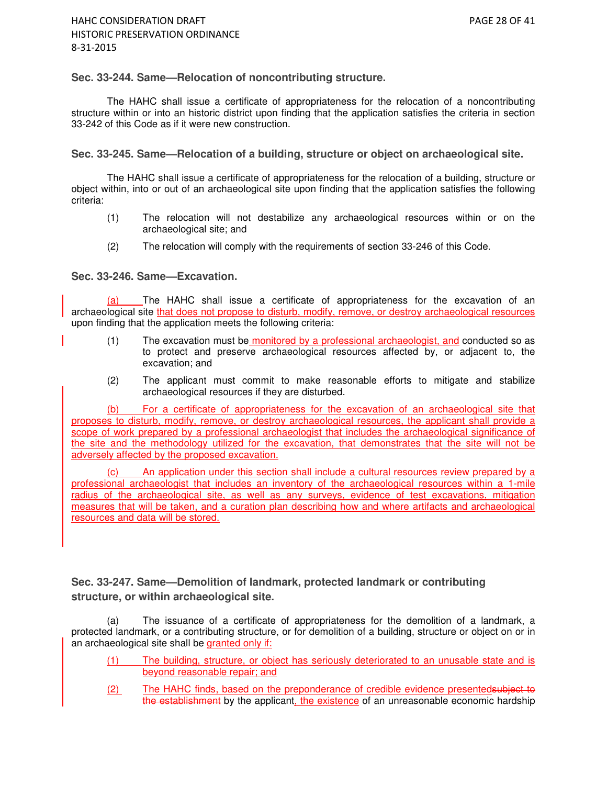### **Sec. 33-244. Same—Relocation of noncontributing structure.**

The HAHC shall issue a certificate of appropriateness for the relocation of a noncontributing structure within or into an historic district upon finding that the application satisfies the criteria in section 33-242 of this Code as if it were new construction.

### **Sec. 33-245. Same—Relocation of a building, structure or object on archaeological site.**

The HAHC shall issue a certificate of appropriateness for the relocation of a building, structure or object within, into or out of an archaeological site upon finding that the application satisfies the following criteria:

- (1) The relocation will not destabilize any archaeological resources within or on the archaeological site; and
- (2) The relocation will comply with the requirements of section 33-246 of this Code.

#### **Sec. 33-246. Same—Excavation.**

(a) The HAHC shall issue a certificate of appropriateness for the excavation of an archaeological site that does not propose to disturb, modify, remove, or destroy archaeological resources upon finding that the application meets the following criteria:

- (1) The excavation must be monitored by a professional archaeologist, and conducted so as to protect and preserve archaeological resources affected by, or adjacent to, the excavation; and
- (2) The applicant must commit to make reasonable efforts to mitigate and stabilize archaeological resources if they are disturbed.

(b) For a certificate of appropriateness for the excavation of an archaeological site that proposes to disturb, modify, remove, or destroy archaeological resources, the applicant shall provide a scope of work prepared by a professional archaeologist that includes the archaeological significance of the site and the methodology utilized for the excavation, that demonstrates that the site will not be adversely affected by the proposed excavation.

(c) An application under this section shall include a cultural resources review prepared by a professional archaeologist that includes an inventory of the archaeological resources within a 1-mile radius of the archaeological site, as well as any surveys, evidence of test excavations, mitigation measures that will be taken, and a curation plan describing how and where artifacts and archaeological resources and data will be stored.

**Sec. 33-247. Same—Demolition of landmark, protected landmark or contributing structure, or within archaeological site.** 

(a) The issuance of a certificate of appropriateness for the demolition of a landmark, a protected landmark, or a contributing structure, or for demolition of a building, structure or object on or in an archaeological site shall be granted only if:

- (1) The building, structure, or object has seriously deteriorated to an unusable state and is beyond reasonable repair; and
- (2) The HAHC finds, based on the preponderance of credible evidence presentedsubject to the establishment by the applicant, the existence of an unreasonable economic hardship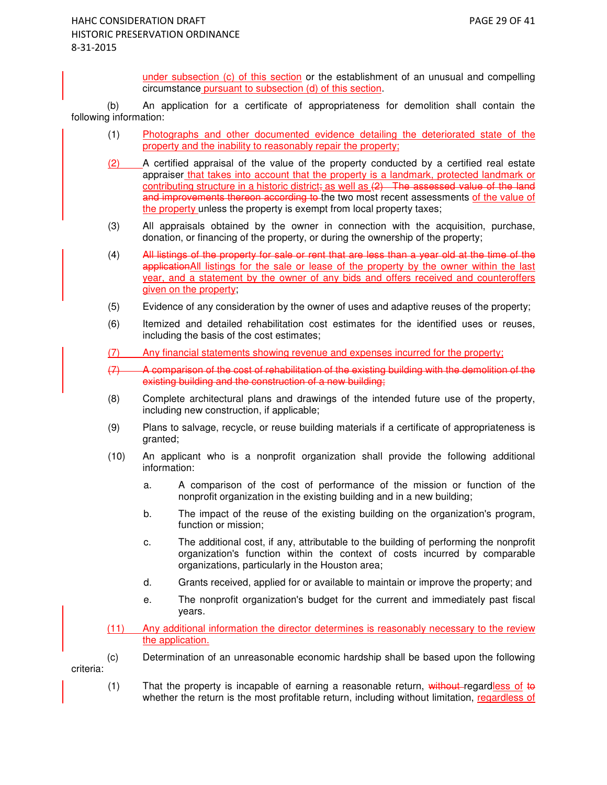under subsection (c) of this section or the establishment of an unusual and compelling circumstance pursuant to subsection (d) of this section.

(b) An application for a certificate of appropriateness for demolition shall contain the following information:

- (1) Photographs and other documented evidence detailing the deteriorated state of the property and the inability to reasonably repair the property;
- (2) A certified appraisal of the value of the property conducted by a certified real estate appraiser that takes into account that the property is a landmark, protected landmark or contributing structure in a historic district; as well as  $(2)$ . The assessed value of the land and improvements thereon according to the two most recent assessments of the value of the property unless the property is exempt from local property taxes;
- (3) All appraisals obtained by the owner in connection with the acquisition, purchase, donation, or financing of the property, or during the ownership of the property;
- (4) All listings of the property for sale or rent that are less than a year old at the time of the applicationAll listings for the sale or lease of the property by the owner within the last year, and a statement by the owner of any bids and offers received and counteroffers given on the property;
- (5) Evidence of any consideration by the owner of uses and adaptive reuses of the property;
- (6) Itemized and detailed rehabilitation cost estimates for the identified uses or reuses, including the basis of the cost estimates;
- (7) Any financial statements showing revenue and expenses incurred for the property;
- (7) A comparison of the cost of rehabilitation of the existing building with the demolition of the existing building and the construction of a new building;
- (8) Complete architectural plans and drawings of the intended future use of the property, including new construction, if applicable;
- (9) Plans to salvage, recycle, or reuse building materials if a certificate of appropriateness is granted;
- (10) An applicant who is a nonprofit organization shall provide the following additional information:
	- a. A comparison of the cost of performance of the mission or function of the nonprofit organization in the existing building and in a new building;
	- b. The impact of the reuse of the existing building on the organization's program, function or mission;
	- c. The additional cost, if any, attributable to the building of performing the nonprofit organization's function within the context of costs incurred by comparable organizations, particularly in the Houston area;
	- d. Grants received, applied for or available to maintain or improve the property; and
	- e. The nonprofit organization's budget for the current and immediately past fiscal years.
- (11) Any additional information the director determines is reasonably necessary to the review the application.
- (c) Determination of an unreasonable economic hardship shall be based upon the following criteria:
	- $(1)$  That the property is incapable of earning a reasonable return, without regardless of to whether the return is the most profitable return, including without limitation, regardless of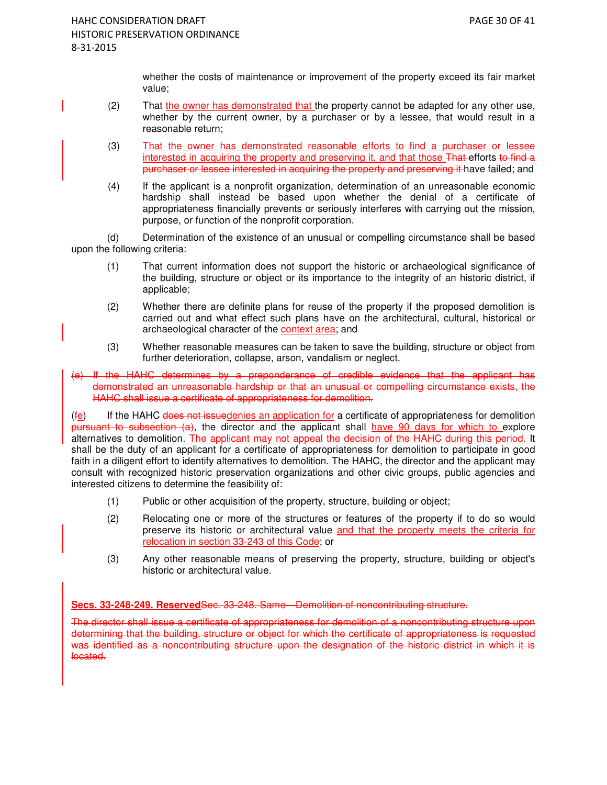whether the costs of maintenance or improvement of the property exceed its fair market value;

- (2) That the owner has demonstrated that the property cannot be adapted for any other use, whether by the current owner, by a purchaser or by a lessee, that would result in a reasonable return;
- (3) That the owner has demonstrated reasonable efforts to find a purchaser or lessee interested in acquiring the property and preserving it, and that those That-efforts to find a purchaser or lessee interested in acquiring the property and preserving it have failed; and
- (4) If the applicant is a nonprofit organization, determination of an unreasonable economic hardship shall instead be based upon whether the denial of a certificate of appropriateness financially prevents or seriously interferes with carrying out the mission, purpose, or function of the nonprofit corporation.

 (d) Determination of the existence of an unusual or compelling circumstance shall be based upon the following criteria:

- (1) That current information does not support the historic or archaeological significance of the building, structure or object or its importance to the integrity of an historic district, if applicable;
- (2) Whether there are definite plans for reuse of the property if the proposed demolition is carried out and what effect such plans have on the architectural, cultural, historical or archaeological character of the context area; and
- (3) Whether reasonable measures can be taken to save the building, structure or object from further deterioration, collapse, arson, vandalism or neglect.
- (e) If the HAHC determines by a preponderance of credible evidence that the applicant has demonstrated an unreasonable hardship or that an unusual or compelling circumstance exists, the HAHC shall issue a certificate of appropriateness for demolition.

 $(f<sub>e</sub>)$  If the HAHC does not issuedenies an application for a certificate of appropriateness for demolition pursuant to subsection (a), the director and the applicant shall have 90 days for which to explore alternatives to demolition. The applicant may not appeal the decision of the HAHC during this period. It shall be the duty of an applicant for a certificate of appropriateness for demolition to participate in good faith in a diligent effort to identify alternatives to demolition. The HAHC, the director and the applicant may consult with recognized historic preservation organizations and other civic groups, public agencies and interested citizens to determine the feasibility of:

- (1) Public or other acquisition of the property, structure, building or object;
- (2) Relocating one or more of the structures or features of the property if to do so would preserve its historic or architectural value and that the property meets the criteria for relocation in section 33-243 of this Code; or
- (3) Any other reasonable means of preserving the property, structure, building or object's historic or architectural value.

**Secs. 33-248-249. Reserved**Sec. 33-248. Same—Demolition of noncontributing structure.

The director shall issue a certificate of appropriateness for demolition of a noncontributing structure upon determining that the building, structure or object for which the certificate of appropriateness is requested was identified as a noncontributing structure upon the designation of the historic district in which it is located.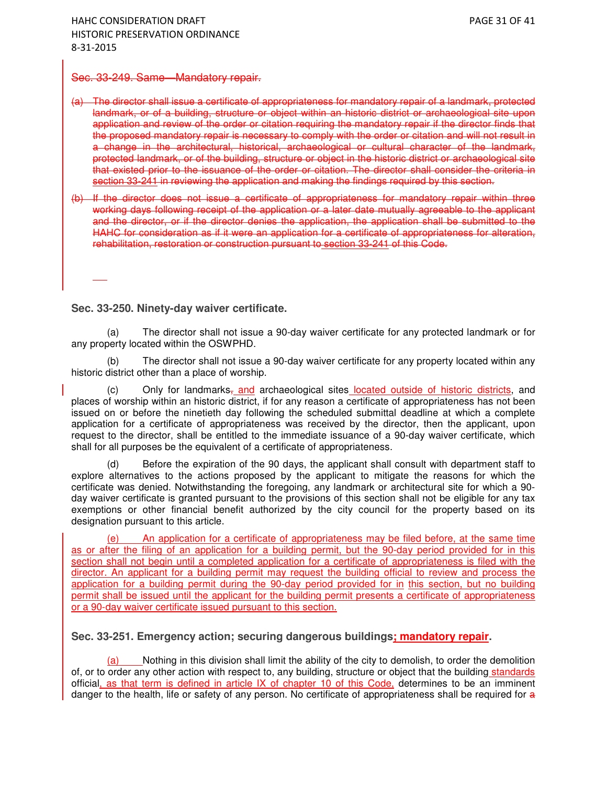#### Sec. 33-249. Same—Mandatory repair.

(a) The director shall issue a certificate of appropriateness for mandatory repair of a landmark, protected landmark, or of a building, structure or object within an historic district or archaeological site upon application and review of the order or citation requiring the mandatory repair if the director finds that the proposed mandatory repair is necessary to comply with the order or citation and will not result in a change in the architectural, historical, archaeological or cultural character of the landmark, protected landmark, or of the building, structure or object in the historic district or archaeological site that existed prior to the issuance of the order or citation. The director shall consider the criteria in section 33-241 in reviewing the application and making the findings required by this section.

(b) If the director does not issue a certificate of appropriateness for mandatory repair within three working days following receipt of the application or a later date mutually agreeable to the applicant and the director, or if the director denies the application, the application shall be submitted to the HAHC for consideration as if it were an application for a certificate of appropriateness for alteration, rehabilitation, restoration or construction pursuant to section 33-241 of this Code.

**Sec. 33-250. Ninety-day waiver certificate.** 

-

(a) The director shall not issue a 90-day waiver certificate for any protected landmark or for any property located within the OSWPHD.

(b) The director shall not issue a 90-day waiver certificate for any property located within any historic district other than a place of worship.

 $\text{C}$  Only for landmarks, and archaeological sites located outside of historic districts, and places of worship within an historic district, if for any reason a certificate of appropriateness has not been issued on or before the ninetieth day following the scheduled submittal deadline at which a complete application for a certificate of appropriateness was received by the director, then the applicant, upon request to the director, shall be entitled to the immediate issuance of a 90-day waiver certificate, which shall for all purposes be the equivalent of a certificate of appropriateness.

(d) Before the expiration of the 90 days, the applicant shall consult with department staff to explore alternatives to the actions proposed by the applicant to mitigate the reasons for which the certificate was denied. Notwithstanding the foregoing, any landmark or architectural site for which a 90 day waiver certificate is granted pursuant to the provisions of this section shall not be eligible for any tax exemptions or other financial benefit authorized by the city council for the property based on its designation pursuant to this article.

An application for a certificate of appropriateness may be filed before, at the same time as or after the filing of an application for a building permit, but the 90-day period provided for in this section shall not begin until a completed application for a certificate of appropriateness is filed with the director. An applicant for a building permit may request the building official to review and process the application for a building permit during the 90-day period provided for in this section, but no building permit shall be issued until the applicant for the building permit presents a certificate of appropriateness or a 90-day waiver certificate issued pursuant to this section.

#### **Sec. 33-251. Emergency action; securing dangerous buildings; mandatory repair.**

(a) Nothing in this division shall limit the ability of the city to demolish, to order the demolition of, or to order any other action with respect to, any building, structure or object that the building standards official, as that term is defined in article IX of chapter 10 of this Code, determines to be an imminent danger to the health, life or safety of any person. No certificate of appropriateness shall be required for a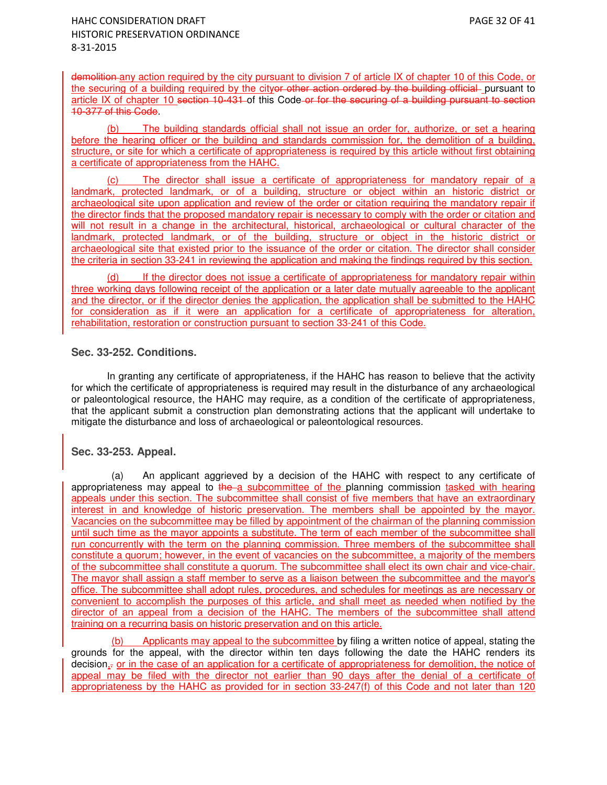demolition any action required by the city pursuant to division 7 of article IX of chapter 10 of this Code, or the securing of a building required by the cityor other action ordered by the building official pursuant to article IX of chapter 10 section 10-431 of this Code or for the securing of a building pursuant to section 10-377 of this Code.

(b) The building standards official shall not issue an order for, authorize, or set a hearing before the hearing officer or the building and standards commission for, the demolition of a building, structure, or site for which a certificate of appropriateness is required by this article without first obtaining a certificate of appropriateness from the HAHC.

(c) The director shall issue a certificate of appropriateness for mandatory repair of a landmark, protected landmark, or of a building, structure or object within an historic district or archaeological site upon application and review of the order or citation requiring the mandatory repair if the director finds that the proposed mandatory repair is necessary to comply with the order or citation and will not result in a change in the architectural, historical, archaeological or cultural character of the landmark, protected landmark, or of the building, structure or object in the historic district or archaeological site that existed prior to the issuance of the order or citation. The director shall consider the criteria in section 33-241 in reviewing the application and making the findings required by this section.

(d) If the director does not issue a certificate of appropriateness for mandatory repair within three working days following receipt of the application or a later date mutually agreeable to the applicant and the director, or if the director denies the application, the application shall be submitted to the HAHC for consideration as if it were an application for a certificate of appropriateness for alteration, rehabilitation, restoration or construction pursuant to section 33-241 of this Code.

## **Sec. 33-252. Conditions.**

In granting any certificate of appropriateness, if the HAHC has reason to believe that the activity for which the certificate of appropriateness is required may result in the disturbance of any archaeological or paleontological resource, the HAHC may require, as a condition of the certificate of appropriateness, that the applicant submit a construction plan demonstrating actions that the applicant will undertake to mitigate the disturbance and loss of archaeological or paleontological resources.

## **Sec. 33-253. Appeal.**

(a) An applicant aggrieved by a decision of the HAHC with respect to any certificate of appropriateness may appeal to  $the-a$  subcommittee of the planning commission tasked with hearing appeals under this section. The subcommittee shall consist of five members that have an extraordinary interest in and knowledge of historic preservation. The members shall be appointed by the mayor. Vacancies on the subcommittee may be filled by appointment of the chairman of the planning commission until such time as the mayor appoints a substitute. The term of each member of the subcommittee shall run concurrently with the term on the planning commission. Three members of the subcommittee shall constitute a quorum; however, in the event of vacancies on the subcommittee, a majority of the members of the subcommittee shall constitute a quorum. The subcommittee shall elect its own chair and vice-chair. The mayor shall assign a staff member to serve as a liaison between the subcommittee and the mayor's office. The subcommittee shall adopt rules, procedures, and schedules for meetings as are necessary or convenient to accomplish the purposes of this article, and shall meet as needed when notified by the director of an appeal from a decision of the HAHC. The members of the subcommittee shall attend training on a recurring basis on historic preservation and on this article.

Applicants may appeal to the subcommittee by filing a written notice of appeal, stating the grounds for the appeal, with the director within ten days following the date the HAHC renders its decision,. or in the case of an application for a certificate of appropriateness for demolition, the notice of appeal may be filed with the director not earlier than 90 days after the denial of a certificate of appropriateness by the HAHC as provided for in section 33-247(f) of this Code and not later than 120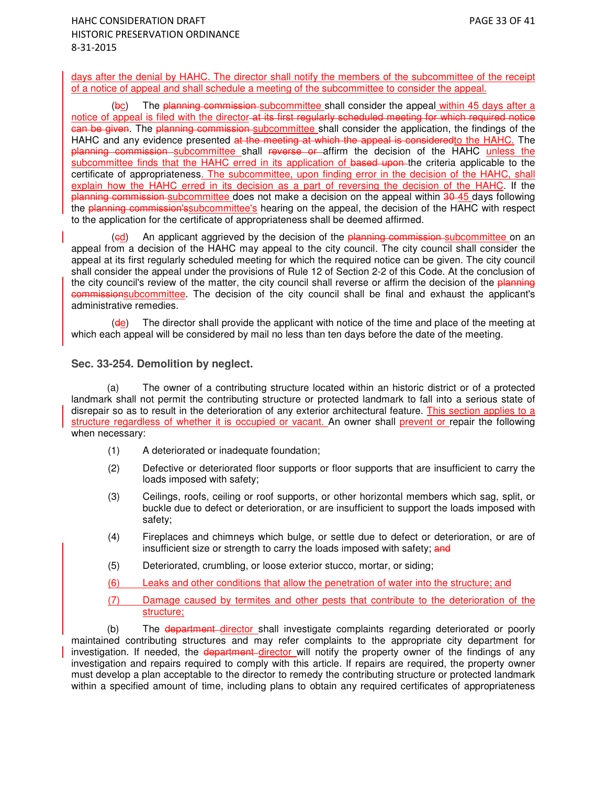days after the denial by HAHC. The director shall notify the members of the subcommittee of the receipt of a notice of appeal and shall schedule a meeting of the subcommittee to consider the appeal.

(bc) The planning commission subcommittee shall consider the appeal within 45 days after a notice of appeal is filed with the director at its first regularly scheduled meeting for which required notice can be given. The planning commission subcommittee shall consider the application, the findings of the HAHC and any evidence presented at the meeting at which the appeal is consideredto the HAHC. The planning commission subcommittee shall reverse or affirm the decision of the HAHC unless the subcommittee finds that the HAHC erred in its application of based upon the criteria applicable to the certificate of appropriateness. The subcommittee, upon finding error in the decision of the HAHC, shall explain how the HAHC erred in its decision as a part of reversing the decision of the HAHC. If the planning commission subcommittee does not make a decision on the appeal within 30-45 days following the planning commission's subcommittee's hearing on the appeal, the decision of the HAHC with respect to the application for the certificate of appropriateness shall be deemed affirmed.

(ed) An applicant aggrieved by the decision of the planning commission-subcommittee on an appeal from a decision of the HAHC may appeal to the city council. The city council shall consider the appeal at its first regularly scheduled meeting for which the required notice can be given. The city council shall consider the appeal under the provisions of Rule 12 of Section 2-2 of this Code. At the conclusion of the city council's review of the matter, the city council shall reverse or affirm the decision of the planning commissionsubcommittee. The decision of the city council shall be final and exhaust the applicant's administrative remedies.

(de) The director shall provide the applicant with notice of the time and place of the meeting at which each appeal will be considered by mail no less than ten days before the date of the meeting.

### **Sec. 33-254. Demolition by neglect.**

(a) The owner of a contributing structure located within an historic district or of a protected landmark shall not permit the contributing structure or protected landmark to fall into a serious state of disrepair so as to result in the deterioration of any exterior architectural feature. This section applies to a structure regardless of whether it is occupied or vacant. An owner shall prevent or repair the following when necessary:

- (1) A deteriorated or inadequate foundation;
- (2) Defective or deteriorated floor supports or floor supports that are insufficient to carry the loads imposed with safety;
- (3) Ceilings, roofs, ceiling or roof supports, or other horizontal members which sag, split, or buckle due to defect or deterioration, or are insufficient to support the loads imposed with safety;
- (4) Fireplaces and chimneys which bulge, or settle due to defect or deterioration, or are of insufficient size or strength to carry the loads imposed with safety; and
- (5) Deteriorated, crumbling, or loose exterior stucco, mortar, or siding;
- (6) Leaks and other conditions that allow the penetration of water into the structure; and
- (7) Damage caused by termites and other pests that contribute to the deterioration of the structure;

(b) The department director shall investigate complaints regarding deteriorated or poorly maintained contributing structures and may refer complaints to the appropriate city department for investigation. If needed, the department director will notify the property owner of the findings of any investigation and repairs required to comply with this article. If repairs are required, the property owner must develop a plan acceptable to the director to remedy the contributing structure or protected landmark within a specified amount of time, including plans to obtain any required certificates of appropriateness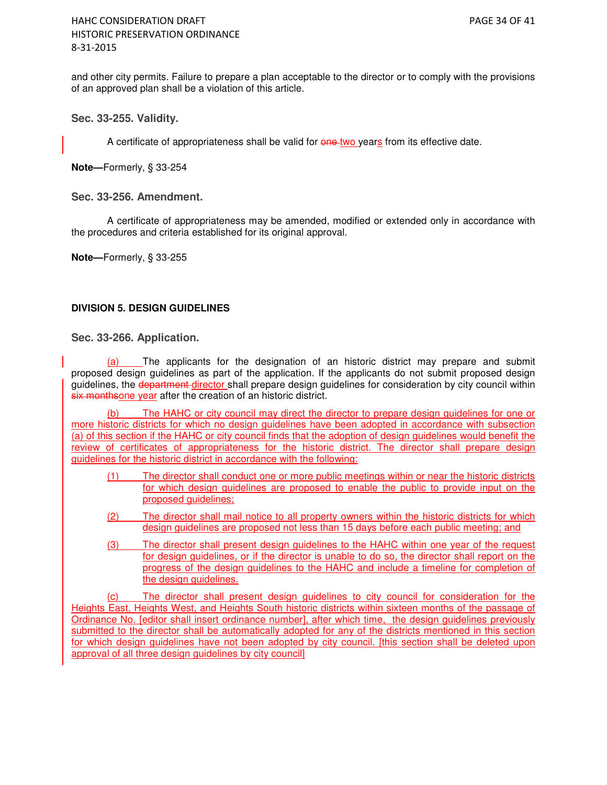and other city permits. Failure to prepare a plan acceptable to the director or to comply with the provisions of an approved plan shall be a violation of this article.

**Sec. 33-255. Validity.** 

A certificate of appropriateness shall be valid for one two years from its effective date.

**Note—**Formerly, § 33-254

### **Sec. 33-256. Amendment.**

A certificate of appropriateness may be amended, modified or extended only in accordance with the procedures and criteria established for its original approval.

**Note—**Formerly, § 33-255

## **DIVISION 5. DESIGN GUIDELINES**

### **Sec. 33-266. Application.**

(a) The applicants for the designation of an historic district may prepare and submit proposed design guidelines as part of the application. If the applicants do not submit proposed design guidelines, the department-director shall prepare design guidelines for consideration by city council within six monthsone year after the creation of an historic district.

The HAHC or city council may direct the director to prepare design guidelines for one or more historic districts for which no design guidelines have been adopted in accordance with subsection (a) of this section if the HAHC or city council finds that the adoption of design guidelines would benefit the review of certificates of appropriateness for the historic district. The director shall prepare design guidelines for the historic district in accordance with the following:

- (1) The director shall conduct one or more public meetings within or near the historic districts for which design guidelines are proposed to enable the public to provide input on the proposed guidelines;
- (2) The director shall mail notice to all property owners within the historic districts for which design guidelines are proposed not less than 15 days before each public meeting; and
- (3) The director shall present design guidelines to the HAHC within one year of the request for design guidelines, or if the director is unable to do so, the director shall report on the progress of the design guidelines to the HAHC and include a timeline for completion of the design guidelines.

(c) The director shall present design guidelines to city council for consideration for the Heights East, Heights West, and Heights South historic districts within sixteen months of the passage of Ordinance No. [editor shall insert ordinance number], after which time, the design guidelines previously submitted to the director shall be automatically adopted for any of the districts mentioned in this section for which design guidelines have not been adopted by city council. [this section shall be deleted upon approval of all three design guidelines by city council]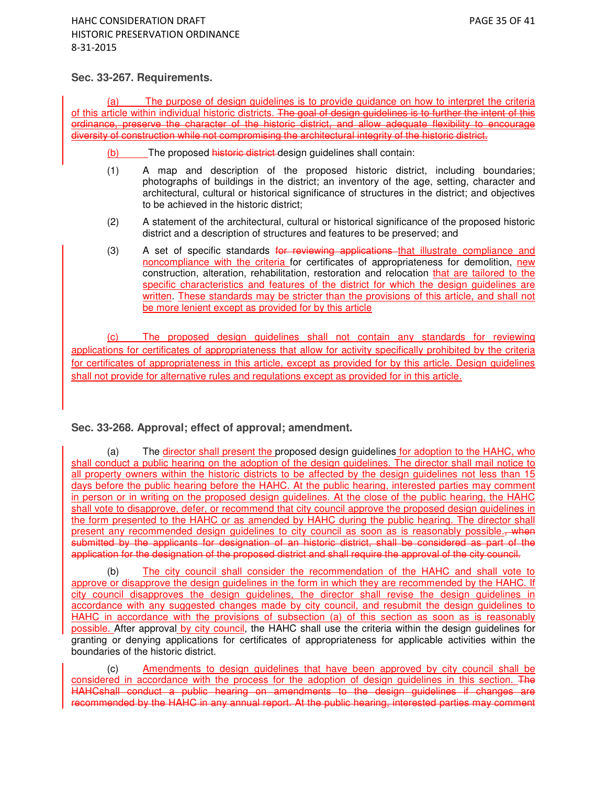# **Sec. 33-267. Requirements.**

The purpose of design guidelines is to provide guidance on how to interpret the criteria of this article within individual historic districts. The goal of design quidelines is to further the intent of this ordinance, preserve the character of the historic district, and allow adequate flexibility to encourage diversity of construction while not compromising the architectural integrity of the historic district.

(b) The proposed historic district design guidelines shall contain:

- (1) A map and description of the proposed historic district, including boundaries; photographs of buildings in the district; an inventory of the age, setting, character and architectural, cultural or historical significance of structures in the district; and objectives to be achieved in the historic district;
- (2) A statement of the architectural, cultural or historical significance of the proposed historic district and a description of structures and features to be preserved; and
- (3) A set of specific standards for reviewing applications that illustrate compliance and noncompliance with the criteria for certificates of appropriateness for demolition, new construction, alteration, rehabilitation, restoration and relocation that are tailored to the specific characteristics and features of the district for which the design guidelines are written. These standards may be stricter than the provisions of this article, and shall not be more lenient except as provided for by this article

(c) The proposed design guidelines shall not contain any standards for reviewing applications for certificates of appropriateness that allow for activity specifically prohibited by the criteria for certificates of appropriateness in this article, except as provided for by this article. Design guidelines shall not provide for alternative rules and regulations except as provided for in this article.

# **Sec. 33-268. Approval; effect of approval; amendment.**

(a) The director shall present the proposed design guidelines for adoption to the HAHC, who shall conduct a public hearing on the adoption of the design guidelines. The director shall mail notice to all property owners within the historic districts to be affected by the design guidelines not less than 15 days before the public hearing before the HAHC. At the public hearing, interested parties may comment in person or in writing on the proposed design guidelines. At the close of the public hearing, the HAHC shall vote to disapprove, defer, or recommend that city council approve the proposed design guidelines in the form presented to the HAHC or as amended by HAHC during the public hearing. The director shall present any recommended design guidelines to city council as soon as is reasonably possible. when submitted by the applicants for designation of an historic district, shall be considered as part of the application for the designation of the proposed district and shall require the approval of the city council.

(b) The city council shall consider the recommendation of the HAHC and shall vote to approve or disapprove the design guidelines in the form in which they are recommended by the HAHC. If city council disapproves the design guidelines, the director shall revise the design guidelines in accordance with any suggested changes made by city council, and resubmit the design guidelines to HAHC in accordance with the provisions of subsection (a) of this section as soon as is reasonably possible. After approval by city council, the HAHC shall use the criteria within the design quidelines for granting or denying applications for certificates of appropriateness for applicable activities within the boundaries of the historic district.

(c) Amendments to design guidelines that have been approved by city council shall be considered in accordance with the process for the adoption of design guidelines in this section. The HAHCshall conduct a public hearing on amendments to the design guidelines if changes are recommended by the HAHC in any annual report. At the public hearing, interested parties may comment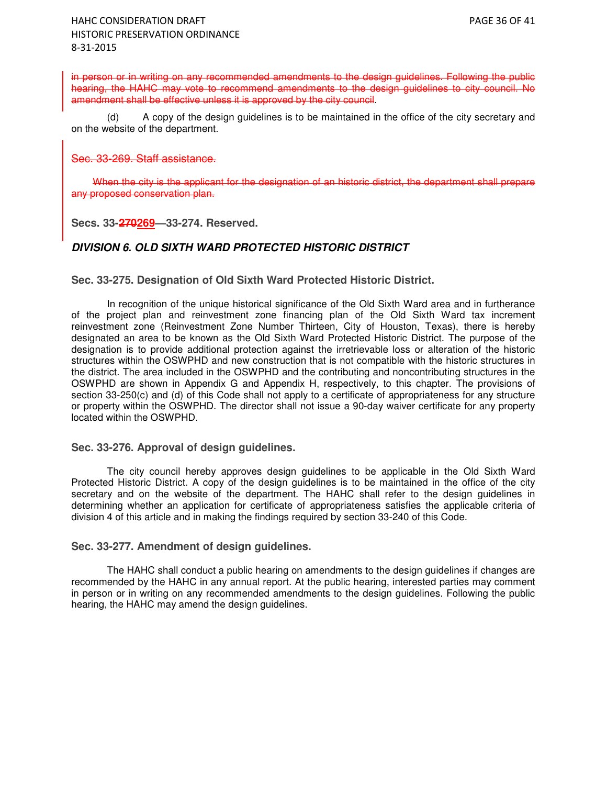in person or in writing on any recommended amendments to the design guidelines. Following the public hearing, the HAHC may vote to recommend amendments to the design quidelines to city council. No amendment shall be effective unless it is approved by the city council.

(d) A copy of the design guidelines is to be maintained in the office of the city secretary and on the website of the department.

#### Sec. 33-269. Staff assistance.

When the city is the applicant for the designation of an historic district, the department shall prepare any proposed conservation plan.

**Secs. 33-270269—33-274. Reserved.** 

# **DIVISION 6. OLD SIXTH WARD PROTECTED HISTORIC DISTRICT**

### **Sec. 33-275. Designation of Old Sixth Ward Protected Historic District.**

In recognition of the unique historical significance of the Old Sixth Ward area and in furtherance of the project plan and reinvestment zone financing plan of the Old Sixth Ward tax increment reinvestment zone (Reinvestment Zone Number Thirteen, City of Houston, Texas), there is hereby designated an area to be known as the Old Sixth Ward Protected Historic District. The purpose of the designation is to provide additional protection against the irretrievable loss or alteration of the historic structures within the OSWPHD and new construction that is not compatible with the historic structures in the district. The area included in the OSWPHD and the contributing and noncontributing structures in the OSWPHD are shown in Appendix G and Appendix H, respectively, to this chapter. The provisions of section 33-250(c) and (d) of this Code shall not apply to a certificate of appropriateness for any structure or property within the OSWPHD. The director shall not issue a 90-day waiver certificate for any property located within the OSWPHD.

#### **Sec. 33-276. Approval of design guidelines.**

The city council hereby approves design guidelines to be applicable in the Old Sixth Ward Protected Historic District. A copy of the design guidelines is to be maintained in the office of the city secretary and on the website of the department. The HAHC shall refer to the design quidelines in determining whether an application for certificate of appropriateness satisfies the applicable criteria of division 4 of this article and in making the findings required by section 33-240 of this Code.

#### **Sec. 33-277. Amendment of design guidelines.**

The HAHC shall conduct a public hearing on amendments to the design guidelines if changes are recommended by the HAHC in any annual report. At the public hearing, interested parties may comment in person or in writing on any recommended amendments to the design guidelines. Following the public hearing, the HAHC may amend the design guidelines.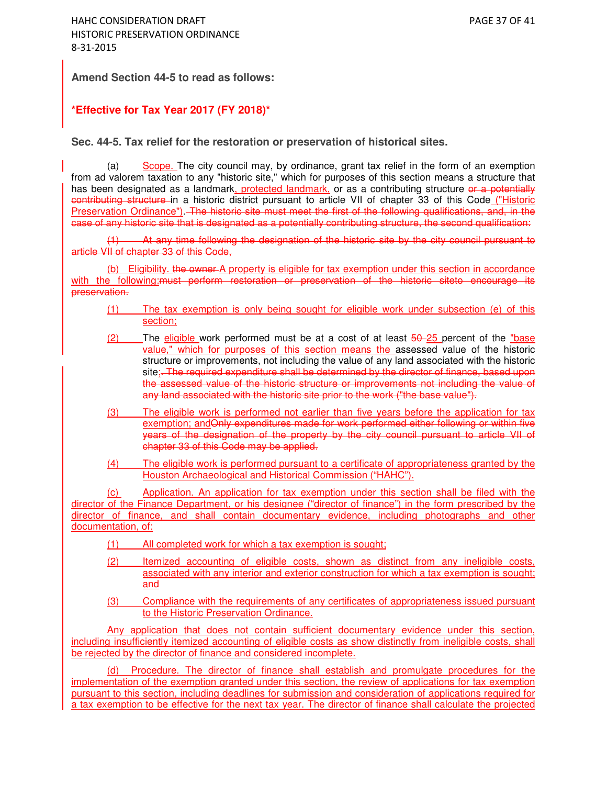**Amend Section 44-5 to read as follows:**

# **\*Effective for Tax Year 2017 (FY 2018)\***

### **Sec. 44-5. Tax relief for the restoration or preservation of historical sites.**

(a) Scope. The city council may, by ordinance, grant tax relief in the form of an exemption from ad valorem taxation to any "historic site," which for purposes of this section means a structure that has been designated as a landmark, protected landmark, or as a contributing structure or a potentially eontributing structure in a historic district pursuant to article VII of chapter 33 of this Code ("Historic Preservation Ordinance"). The historic site must meet the first of the following qualifications, and, in the case of any historic site that is designated as a potentially contributing structure, the second qualification:

At any time following the designation of the historic site by the city council pursuant to article VII of chapter 33 of this Code,

(b) Eligibility. the owner A property is eligible for tax exemption under this section in accordance with the following: must perform restoration or preservation of the historic siteto encourage its preservation.

- (1) The tax exemption is only being sought for eligible work under subsection (e) of this section;
- $(2)$  The eligible work performed must be at a cost of at least  $\frac{50-25}{25}$  percent of the "base" value," which for purposes of this section means the assessed value of the historic structure or improvements, not including the value of any land associated with the historic site;. The required expenditure shall be determined by the director of finance, based upon the assessed value of the historic structure or improvements not including the value of any land associated with the historic site prior to the work ("the base value").
- (3) The eligible work is performed not earlier than five years before the application for tax exemption; and Only expenditures made for work performed either following or within five years of the designation of the property by the city council pursuant to article VII of chapter 33 of this Code may be applied.
- (4) The eligible work is performed pursuant to a certificate of appropriateness granted by the Houston Archaeological and Historical Commission ("HAHC").

(c) Application. An application for tax exemption under this section shall be filed with the director of the Finance Department, or his designee ("director of finance") in the form prescribed by the director of finance, and shall contain documentary evidence, including photographs and other documentation, of:

- (1) All completed work for which a tax exemption is sought;
- (2) Itemized accounting of eligible costs, shown as distinct from any ineligible costs, associated with any interior and exterior construction for which a tax exemption is sought; and
- (3) Compliance with the requirements of any certificates of appropriateness issued pursuant to the Historic Preservation Ordinance.

Any application that does not contain sufficient documentary evidence under this section, including insufficiently itemized accounting of eligible costs as show distinctly from ineligible costs, shall be rejected by the director of finance and considered incomplete.

(d) Procedure. The director of finance shall establish and promulgate procedures for the implementation of the exemption granted under this section, the review of applications for tax exemption pursuant to this section, including deadlines for submission and consideration of applications required for a tax exemption to be effective for the next tax year. The director of finance shall calculate the projected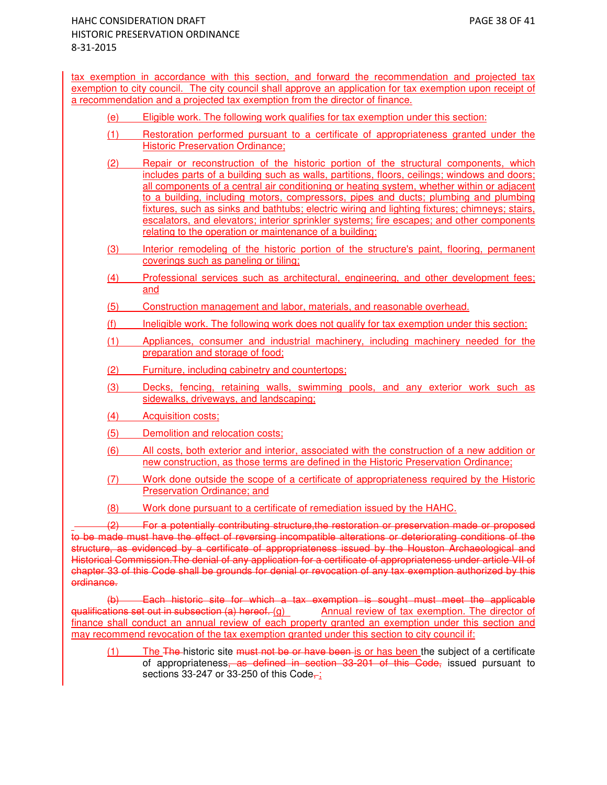tax exemption in accordance with this section, and forward the recommendation and projected tax exemption to city council. The city council shall approve an application for tax exemption upon receipt of a recommendation and a projected tax exemption from the director of finance.

- (e) Eligible work. The following work qualifies for tax exemption under this section:
- (1) Restoration performed pursuant to a certificate of appropriateness granted under the Historic Preservation Ordinance;
- (2) Repair or reconstruction of the historic portion of the structural components, which includes parts of a building such as walls, partitions, floors, ceilings; windows and doors; all components of a central air conditioning or heating system, whether within or adjacent to a building, including motors, compressors, pipes and ducts; plumbing and plumbing fixtures, such as sinks and bathtubs; electric wiring and lighting fixtures; chimneys; stairs, escalators, and elevators; interior sprinkler systems; fire escapes; and other components relating to the operation or maintenance of a building;
- (3) Interior remodeling of the historic portion of the structure's paint, flooring, permanent coverings such as paneling or tiling;
- (4) Professional services such as architectural, engineering, and other development fees; and
- (5) Construction management and labor, materials, and reasonable overhead.
- (f) Ineligible work. The following work does not qualify for tax exemption under this section:
- (1) Appliances, consumer and industrial machinery, including machinery needed for the preparation and storage of food;
- (2) Furniture, including cabinetry and countertops;
- (3) Decks, fencing, retaining walls, swimming pools, and any exterior work such as sidewalks, driveways, and landscaping;
- (4) Acquisition costs;
- (5) Demolition and relocation costs;
- (6) All costs, both exterior and interior, associated with the construction of a new addition or new construction, as those terms are defined in the Historic Preservation Ordinance;
- (7) Work done outside the scope of a certificate of appropriateness required by the Historic Preservation Ordinance; and
- (8) Work done pursuant to a certificate of remediation issued by the HAHC.

 (2) For a potentially contributing structure,the restoration or preservation made or proposed to be made must have the effect of reversing incompatible alterations or deteriorating conditions of the structure, as evidenced by a certificate of appropriateness issued by the Houston Archaeological and Historical Commission.The denial of any application for a certificate of appropriateness under article VII of chapter 33 of this Code shall be grounds for denial or revocation of any tax exemption authorized by this ordinance.

(b) Each historic site for which a tax exemption is sought must meet the applicable qualifications set out in subsection (a) hereof. (g) Annual review of tax exemption. The director of finance shall conduct an annual review of each property granted an exemption under this section and may recommend revocation of the tax exemption granted under this section to city council if:

 $(1)$  The The historic site must not be or have been is or has been the subject of a certificate of appropriateness, as defined in section 33-201 of this Code, issued pursuant to sections 33-247 or 33-250 of this Code $\frac{1}{x}$ ;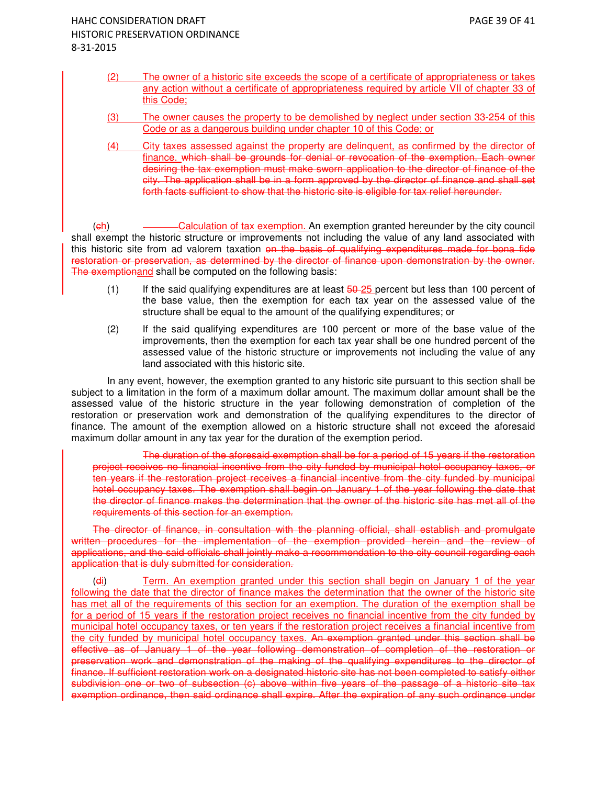- (2) The owner of a historic site exceeds the scope of a certificate of appropriateness or takes any action without a certificate of appropriateness required by article VII of chapter 33 of this Code;
- (3) The owner causes the property to be demolished by neglect under section 33-254 of this Code or as a dangerous building under chapter 10 of this Code; or
- (4) City taxes assessed against the property are delinquent, as confirmed by the director of finance. which shall be grounds for denial or revocation of the exemption. Each owner desiring the tax exemption must make sworn application to the director of finance of the city. The application shall be in a form approved by the director of finance and shall set forth facts sufficient to show that the historic site is eligible for tax relief hereunder.

(ch) Calculation of tax exemption. An exemption granted hereunder by the city council shall exempt the historic structure or improvements not including the value of any land associated with this historic site from ad valorem taxation on the basis of qualifying expenditures made for bona fide restoration or preservation, as determined by the director of finance upon demonstration by the owner. The exemptionand shall be computed on the following basis:

- (1) If the said qualifying expenditures are at least  $\frac{50-25}{25}$  percent but less than 100 percent of the base value, then the exemption for each tax year on the assessed value of the structure shall be equal to the amount of the qualifying expenditures; or
- (2) If the said qualifying expenditures are 100 percent or more of the base value of the improvements, then the exemption for each tax year shall be one hundred percent of the assessed value of the historic structure or improvements not including the value of any land associated with this historic site.

In any event, however, the exemption granted to any historic site pursuant to this section shall be subject to a limitation in the form of a maximum dollar amount. The maximum dollar amount shall be the assessed value of the historic structure in the year following demonstration of completion of the restoration or preservation work and demonstration of the qualifying expenditures to the director of finance. The amount of the exemption allowed on a historic structure shall not exceed the aforesaid maximum dollar amount in any tax year for the duration of the exemption period.

The duration of the aforesaid exemption shall be for a period of 15 years if the restoration project receives no financial incentive from the city funded by municipal hotel occupancy taxes, or ten years if the restoration project receives a financial incentive from the city funded by municipal hotel occupancy taxes. The exemption shall begin on January 1 of the year following the date that the director of finance makes the determination that the owner of the historic site has met all of the requirements of this section for an exemption.

The director of finance, in consultation with the planning official, shall establish and promulgate written procedures for the implementation of the exemption provided herein and the review of applications, and the said officials shall jointly make a recommendation to the city council regarding each application that is duly submitted for consideration.

(di) Term. An exemption granted under this section shall begin on January 1 of the year following the date that the director of finance makes the determination that the owner of the historic site has met all of the requirements of this section for an exemption. The duration of the exemption shall be for a period of 15 years if the restoration project receives no financial incentive from the city funded by municipal hotel occupancy taxes, or ten years if the restoration project receives a financial incentive from the city funded by municipal hotel occupancy taxes. An exemption granted under this section shall be effective as of January 1 of the year following demonstration of completion of the restoration or preservation work and demonstration of the making of the qualifying expenditures to the director of finance. If sufficient restoration work on a designated historic site has not been completed to satisfy either subdivision one or two of subsection (c) above within five years of the passage of a historic site tax exemption ordinance, then said ordinance shall expire. After the expiration of any such ordinance under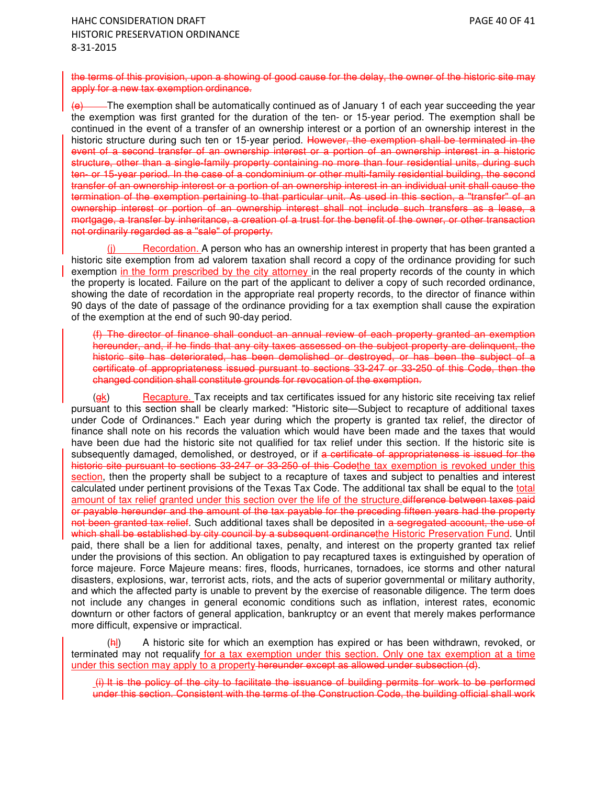the terms of this provision, upon a showing of good cause for the delay, the owner of the historic site may apply for a new tax exemption ordinance.

 $(e)$  The exemption shall be automatically continued as of January 1 of each year succeeding the year the exemption was first granted for the duration of the ten- or 15-year period. The exemption shall be continued in the event of a transfer of an ownership interest or a portion of an ownership interest in the historic structure during such ten or 15-year period. However, the exemption shall be terminated in the event of a second transfer of an ownership interest or a portion of an ownership interest in a historic structure, other than a single-family property containing no more than four residential units, during such ten- or 15-year period. In the case of a condominium or other multi-family residential building, the second transfer of an ownership interest or a portion of an ownership interest in an individual unit shall cause the termination of the exemption pertaining to that particular unit. As used in this section, a "transfer" of an ownership interest or portion of an ownership interest shall not include such transfers as a lease, a mortgage, a transfer by inheritance, a creation of a trust for the benefit of the owner, or other transaction not ordinarily regarded as a "sale" of property.

Recordation. A person who has an ownership interest in property that has been granted a historic site exemption from ad valorem taxation shall record a copy of the ordinance providing for such exemption in the form prescribed by the city attorney in the real property records of the county in which the property is located. Failure on the part of the applicant to deliver a copy of such recorded ordinance, showing the date of recordation in the appropriate real property records, to the director of finance within 90 days of the date of passage of the ordinance providing for a tax exemption shall cause the expiration of the exemption at the end of such 90-day period.

(f) The director of finance shall conduct an annual review of each property granted an exemption hereunder, and, if he finds that any city taxes assessed on the subject property are delinquent, the historic site has deteriorated, has been demolished or destroyed, or has been the subject of a certificate of appropriateness issued pursuant to sections 33-247 or 33-250 of this Code, then the changed condition shall constitute grounds for revocation of the exemption.

(gk) Recapture. Tax receipts and tax certificates issued for any historic site receiving tax relief pursuant to this section shall be clearly marked: "Historic site—Subject to recapture of additional taxes under Code of Ordinances." Each year during which the property is granted tax relief, the director of finance shall note on his records the valuation which would have been made and the taxes that would have been due had the historic site not qualified for tax relief under this section. If the historic site is subsequently damaged, demolished, or destroyed, or if a certificate of appropriateness is issued for the historic site pursuant to sections 33-247 or 33-250 of this Codethe tax exemption is revoked under this section, then the property shall be subject to a recapture of taxes and subject to penalties and interest calculated under pertinent provisions of the Texas Tax Code. The additional tax shall be equal to the total amount of tax relief granted under this section over the life of the structure. difference between taxes paid or payable hereunder and the amount of the tax payable for the preceding fifteen years had the property not been granted tax relief. Such additional taxes shall be deposited in a segregated account, the use of which shall be established by city council by a subsequent ordinancethe Historic Preservation Fund. Until paid, there shall be a lien for additional taxes, penalty, and interest on the property granted tax relief under the provisions of this section. An obligation to pay recaptured taxes is extinguished by operation of force majeure. Force Majeure means: fires, floods, hurricanes, tornadoes, ice storms and other natural disasters, explosions, war, terrorist acts, riots, and the acts of superior governmental or military authority, and which the affected party is unable to prevent by the exercise of reasonable diligence. The term does not include any changes in general economic conditions such as inflation, interest rates, economic downturn or other factors of general application, bankruptcy or an event that merely makes performance more difficult, expensive or impractical.

 $(H_1)$  A historic site for which an exemption has expired or has been withdrawn, revoked, or terminated may not requalify for a tax exemption under this section. Only one tax exemption at a time under this section may apply to a property hereunder except as allowed under subsection (d).

 (i) It is the policy of the city to facilitate the issuance of building permits for work to be performed under this section. Consistent with the terms of the Construction Code, the building official shall work